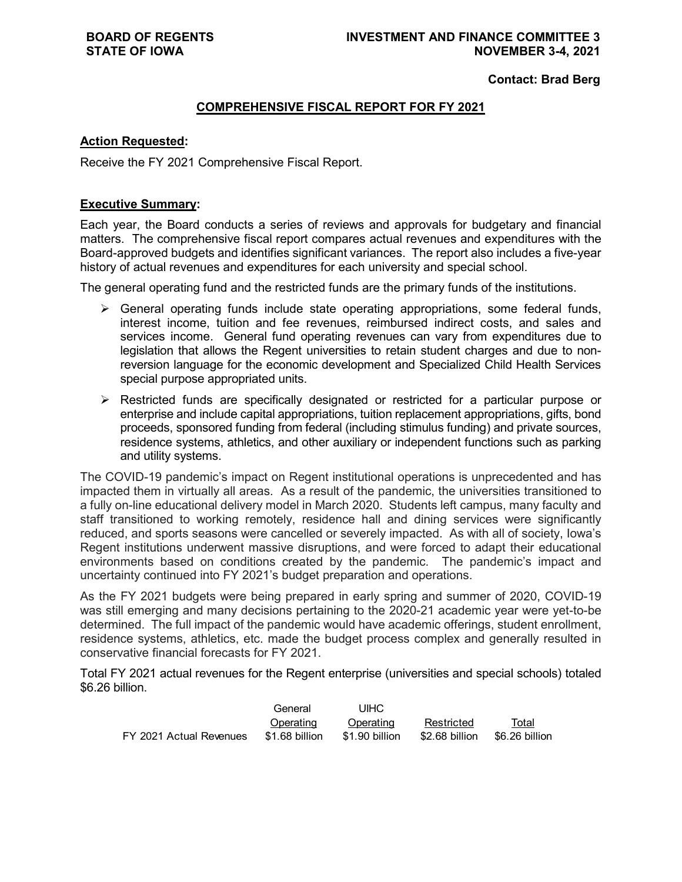**Contact: Brad Berg**

## **COMPREHENSIVE FISCAL REPORT FOR FY 2021**

## **Action Requested:**

Receive the FY 2021 Comprehensive Fiscal Report.

## **Executive Summary:**

Each year, the Board conducts a series of reviews and approvals for budgetary and financial matters. The comprehensive fiscal report compares actual revenues and expenditures with the Board-approved budgets and identifies significant variances. The report also includes a five-year history of actual revenues and expenditures for each university and special school.

The general operating fund and the restricted funds are the primary funds of the institutions.

- $\triangleright$  General operating funds include state operating appropriations, some federal funds, interest income, tuition and fee revenues, reimbursed indirect costs, and sales and services income. General fund operating revenues can vary from expenditures due to legislation that allows the Regent universities to retain student charges and due to nonreversion language for the economic development and Specialized Child Health Services special purpose appropriated units.
- $\triangleright$  Restricted funds are specifically designated or restricted for a particular purpose or enterprise and include capital appropriations, tuition replacement appropriations, gifts, bond proceeds, sponsored funding from federal (including stimulus funding) and private sources, residence systems, athletics, and other auxiliary or independent functions such as parking and utility systems.

The COVID-19 pandemic's impact on Regent institutional operations is unprecedented and has impacted them in virtually all areas. As a result of the pandemic, the universities transitioned to a fully on-line educational delivery model in March 2020. Students left campus, many faculty and staff transitioned to working remotely, residence hall and dining services were significantly reduced, and sports seasons were cancelled or severely impacted. As with all of society, Iowa's Regent institutions underwent massive disruptions, and were forced to adapt their educational environments based on conditions created by the pandemic. The pandemic's impact and uncertainty continued into FY 2021's budget preparation and operations.

As the FY 2021 budgets were being prepared in early spring and summer of 2020, COVID-19 was still emerging and many decisions pertaining to the 2020-21 academic year were yet-to-be determined. The full impact of the pandemic would have academic offerings, student enrollment, residence systems, athletics, etc. made the budget process complex and generally resulted in conservative financial forecasts for FY 2021.

Total FY 2021 actual revenues for the Regent enterprise (universities and special schools) totaled \$6.26 billion.

|                         | General        | UIHC           |                               |       |
|-------------------------|----------------|----------------|-------------------------------|-------|
|                         | Operating      | Operating      | Restricted                    | Total |
| FY 2021 Actual Revenues | \$1.68 billion | \$1.90 billion | \$2.68 billion \$6.26 billion |       |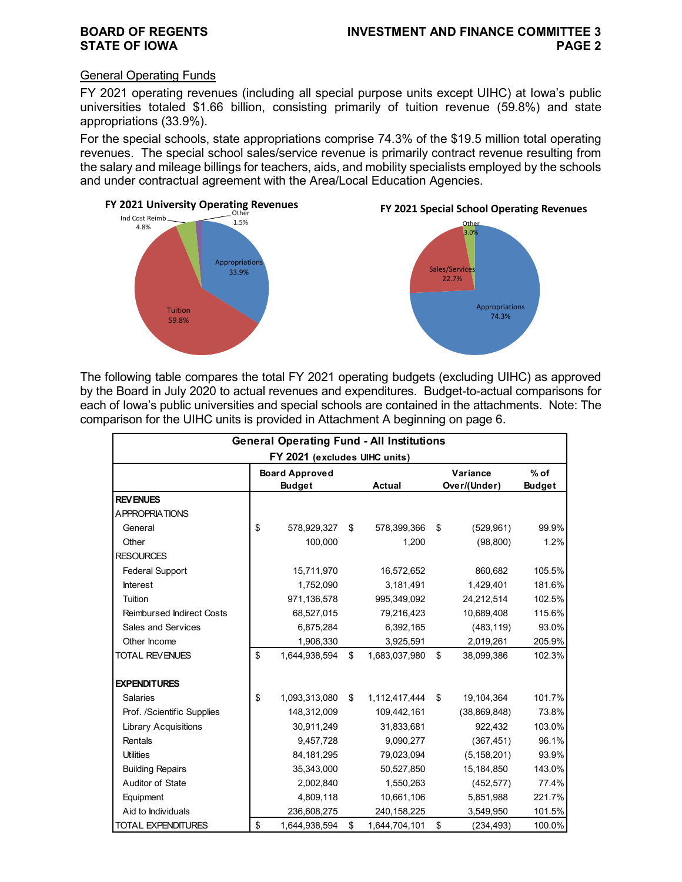## General Operating Funds

FY 2021 operating revenues (including all special purpose units except UIHC) at Iowa's public universities totaled \$1.66 billion, consisting primarily of tuition revenue (59.8%) and state appropriations (33.9%).

For the special schools, state appropriations comprise 74.3% of the \$19.5 million total operating revenues. The special school sales/service revenue is primarily contract revenue resulting from the salary and mileage billings for teachers, aids, and mobility specialists employed by the schools and under contractual agreement with the Area/Local Education Agencies.



The following table compares the total FY 2021 operating budgets (excluding UIHC) as approved by the Board in July 2020 to actual revenues and expenditures. Budget-to-actual comparisons for each of Iowa's public universities and special schools are contained in the attachments. Note: The comparison for the UIHC units is provided in Attachment A beginning on page 6.

| <b>General Operating Fund - All Institutions</b><br>FY 2021 (excludes UIHC units) |    |                                        |    |               |    |                          |                         |  |  |  |
|-----------------------------------------------------------------------------------|----|----------------------------------------|----|---------------|----|--------------------------|-------------------------|--|--|--|
|                                                                                   |    | <b>Board Approved</b><br><b>Budget</b> |    | <b>Actual</b> |    | Variance<br>Over/(Under) | $%$ of<br><b>Budget</b> |  |  |  |
| <b>REV ENUES</b>                                                                  |    |                                        |    |               |    |                          |                         |  |  |  |
| <b>APPROPRIATIONS</b>                                                             |    |                                        |    |               |    |                          |                         |  |  |  |
| General                                                                           | \$ | 578,929,327                            | \$ | 578,399,366   | \$ | (529, 961)               | 99.9%                   |  |  |  |
| Other                                                                             |    | 100,000                                |    | 1,200         |    | (98, 800)                | 1.2%                    |  |  |  |
| <b>RESOURCES</b>                                                                  |    |                                        |    |               |    |                          |                         |  |  |  |
| <b>Federal Support</b>                                                            |    | 15,711,970                             |    | 16,572,652    |    | 860,682                  | 105.5%                  |  |  |  |
| <b>Interest</b>                                                                   |    | 1,752,090                              |    | 3,181,491     |    | 1,429,401                | 181.6%                  |  |  |  |
| Tuition                                                                           |    | 971,136,578                            |    | 995,349,092   |    | 24,212,514               | 102.5%                  |  |  |  |
| <b>Reimbursed Indirect Costs</b>                                                  |    | 68,527,015                             |    | 79,216,423    |    | 10,689,408               | 115.6%                  |  |  |  |
| <b>Sales and Services</b>                                                         |    | 6,875,284                              |    | 6,392,165     |    | (483, 119)               | 93.0%                   |  |  |  |
| Other Income                                                                      |    | 1,906,330                              |    | 3,925,591     |    | 2,019,261                | 205.9%                  |  |  |  |
| <b>TOTAL REVENUES</b>                                                             | \$ | 1,644,938,594                          | \$ | 1,683,037,980 | \$ | 38,099,386               | 102.3%                  |  |  |  |
| <b>EXPENDITURES</b>                                                               |    |                                        |    |               |    |                          |                         |  |  |  |
| <b>Salaries</b>                                                                   | \$ | 1,093,313,080                          | \$ | 1,112,417,444 | \$ | 19,104,364               | 101.7%                  |  |  |  |
| Prof. /Scientific Supplies                                                        |    | 148,312,009                            |    | 109,442,161   |    | (38, 869, 848)           | 73.8%                   |  |  |  |
| <b>Library Acquisitions</b>                                                       |    | 30,911,249                             |    | 31,833,681    |    | 922,432                  | 103.0%                  |  |  |  |
| Rentals                                                                           |    | 9,457,728                              |    | 9,090,277     |    | (367, 451)               | 96.1%                   |  |  |  |
| <b>Utilities</b>                                                                  |    | 84, 181, 295                           |    | 79,023,094    |    | (5, 158, 201)            | 93.9%                   |  |  |  |
| <b>Building Repairs</b>                                                           |    | 35,343,000                             |    | 50,527,850    |    | 15,184,850               | 143.0%                  |  |  |  |
| Auditor of State                                                                  |    | 2,002,840                              |    | 1,550,263     |    | (452, 577)               | 77.4%                   |  |  |  |
| Equipment                                                                         |    | 4,809,118                              |    | 10,661,106    |    | 5,851,988                | 221.7%                  |  |  |  |
| Aid to Individuals                                                                |    | 236,608,275                            |    | 240, 158, 225 |    | 3,549,950                | 101.5%                  |  |  |  |
| <b>TOTAL EXPENDITURES</b>                                                         | \$ | 1,644,938,594                          | \$ | 1,644,704,101 | \$ | (234, 493)               | 100.0%                  |  |  |  |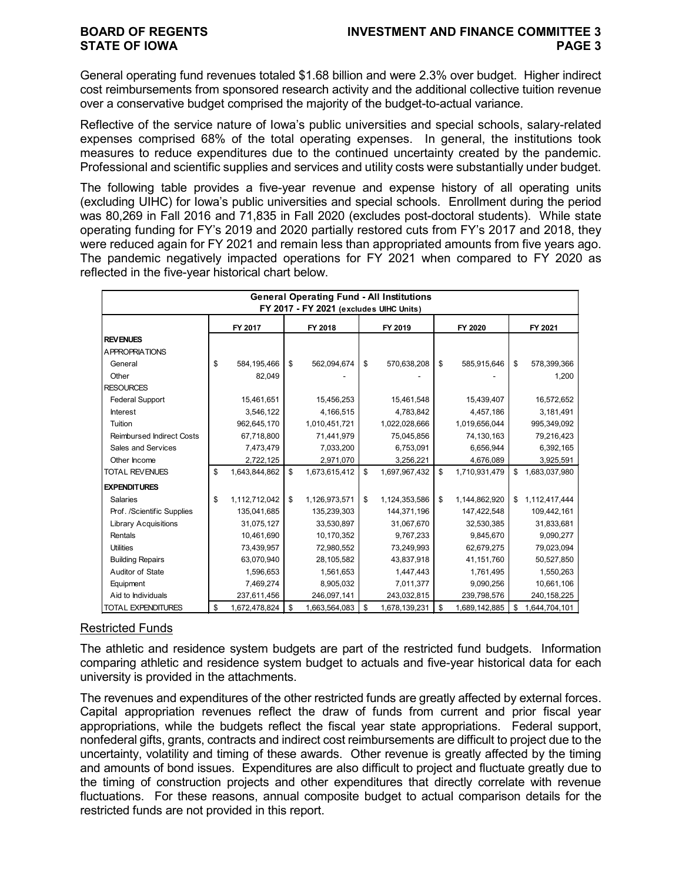General operating fund revenues totaled \$1.68 billion and were 2.3% over budget. Higher indirect cost reimbursements from sponsored research activity and the additional collective tuition revenue over a conservative budget comprised the majority of the budget-to-actual variance.

Reflective of the service nature of Iowa's public universities and special schools, salary-related expenses comprised 68% of the total operating expenses. In general, the institutions took measures to reduce expenditures due to the continued uncertainty created by the pandemic. Professional and scientific supplies and services and utility costs were substantially under budget.

The following table provides a five-year revenue and expense history of all operating units (excluding UIHC) for Iowa's public universities and special schools. Enrollment during the period was 80,269 in Fall 2016 and 71,835 in Fall 2020 (excludes post-doctoral students). While state operating funding for FY's 2019 and 2020 partially restored cuts from FY's 2017 and 2018, they were reduced again for FY 2021 and remain less than appropriated amounts from five years ago. The pandemic negatively impacted operations for FY 2021 when compared to FY 2020 as reflected in the five-year historical chart below.

|                                  |                     |                                         | <b>General Operating Fund - All Institutions</b> |                     |                     |
|----------------------------------|---------------------|-----------------------------------------|--------------------------------------------------|---------------------|---------------------|
|                                  |                     | FY 2017 - FY 2021 (excludes UIHC Units) |                                                  |                     |                     |
|                                  | FY 2017             | FY 2018                                 | FY 2019                                          | FY 2020             | FY 2021             |
| <b>REVENUES</b>                  |                     |                                         |                                                  |                     |                     |
| <b>APPROPRIATIONS</b>            |                     |                                         |                                                  |                     |                     |
| General                          | \$<br>584,195,466   | \$<br>562,094,674                       | \$<br>570,638,208                                | \$<br>585,915,646   | \$<br>578,399,366   |
| Other                            | 82,049              |                                         |                                                  |                     | 1,200               |
| <b>RESOURCES</b>                 |                     |                                         |                                                  |                     |                     |
| <b>Federal Support</b>           | 15,461,651          | 15,456,253                              | 15,461,548                                       | 15,439,407          | 16,572,652          |
| <b>Interest</b>                  | 3,546,122           | 4,166,515                               | 4,783,842                                        | 4,457,186           | 3,181,491           |
| Tuition                          | 962,645,170         | 1,010,451,721                           | 1,022,028,666                                    | 1,019,656,044       | 995,349,092         |
| <b>Reimbursed Indirect Costs</b> | 67,718,800          | 71,441,979                              | 75,045,856                                       | 74,130,163          | 79,216,423          |
| Sales and Services               | 7,473,479           | 7,033,200                               | 6,753,091                                        | 6,656,944           | 6,392,165           |
| Other Income                     | 2,722,125           | 2,971,070                               | 3,256,221                                        | 4,676,089           | 3,925,591           |
| <b>TOTAL REVENUES</b>            | \$<br>1,643,844,862 | \$<br>1,673,615,412                     | \$<br>1,697,967,432                              | \$<br>1,710,931,479 | \$<br>1,683,037,980 |
| <b>EXPENDITURES</b>              |                     |                                         |                                                  |                     |                     |
| <b>Salaries</b>                  | \$<br>1,112,712,042 | \$<br>1,126,973,571                     | \$<br>1,124,353,586                              | \$<br>1,144,862,920 | \$<br>1,112,417,444 |
| Prof. /Scientific Supplies       | 135,041,685         | 135,239,303                             | 144,371,196                                      | 147,422,548         | 109,442,161         |
| <b>Library Acquisitions</b>      | 31,075,127          | 33,530,897                              | 31,067,670                                       | 32,530,385          | 31,833,681          |
| Rentals                          | 10,461,690          | 10,170,352                              | 9,767,233                                        | 9,845,670           | 9,090,277           |
| <b>Utilities</b>                 | 73,439,957          | 72,980,552                              | 73,249,993                                       | 62,679,275          | 79,023,094          |
| <b>Building Repairs</b>          | 63,070,940          | 28,105,582                              | 43,837,918                                       | 41,151,760          | 50,527,850          |
| Auditor of State                 | 1,596,653           | 1,561,653                               | 1,447,443                                        | 1,761,495           | 1,550,263           |
| Equipment                        | 7,469,274           | 8,905,032                               | 7,011,377                                        | 9,090,256           | 10,661,106          |
| Aid to Individuals               | 237,611,456         | 246,097,141                             | 243,032,815                                      | 239,798,576         | 240, 158, 225       |
| <b>TOTAL EXPENDITURES</b>        | \$<br>1,672,478,824 | \$<br>1,663,564,083                     | \$<br>1,678,139,231                              | \$<br>1,689,142,885 | \$<br>1,644,704,101 |

## Restricted Funds

The athletic and residence system budgets are part of the restricted fund budgets. Information comparing athletic and residence system budget to actuals and five-year historical data for each university is provided in the attachments.

The revenues and expenditures of the other restricted funds are greatly affected by external forces. Capital appropriation revenues reflect the draw of funds from current and prior fiscal year appropriations, while the budgets reflect the fiscal year state appropriations. Federal support, nonfederal gifts, grants, contracts and indirect cost reimbursements are difficult to project due to the uncertainty, volatility and timing of these awards. Other revenue is greatly affected by the timing and amounts of bond issues. Expenditures are also difficult to project and fluctuate greatly due to the timing of construction projects and other expenditures that directly correlate with revenue fluctuations. For these reasons, annual composite budget to actual comparison details for the restricted funds are not provided in this report.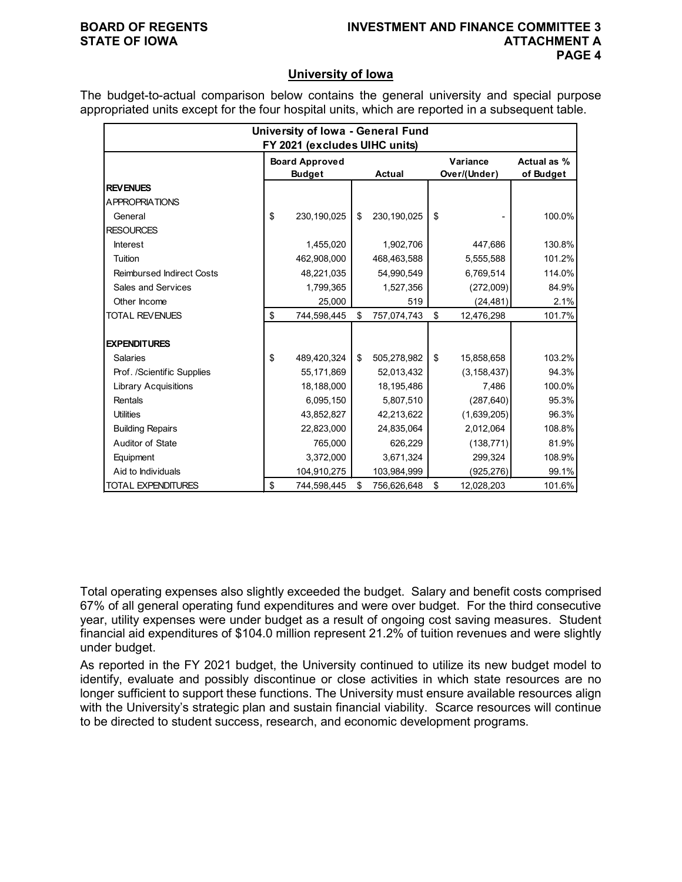## **BOARD OF REGENTS INVESTMENT AND FINANCE COMMITTEE 3 ATTACHMENT A PAGE 4**

## **University of Iowa**

The budget-to-actual comparison below contains the general university and special purpose appropriated units except for the four hospital units, which are reported in a subsequent table.

|                                  | University of Iowa - General Fund |                   |                  |             |
|----------------------------------|-----------------------------------|-------------------|------------------|-------------|
|                                  | FY 2021 (excludes UIHC units)     |                   |                  |             |
|                                  | <b>Board Approved</b>             |                   | Variance         | Actual as % |
|                                  | <b>Budget</b>                     | Actual            | Over/(Under)     | of Budget   |
| <b>REVENUES</b>                  |                                   |                   |                  |             |
| <b>APPROPRIATIONS</b>            |                                   |                   |                  |             |
| General                          | \$<br>230,190,025                 | \$<br>230,190,025 | \$               | 100.0%      |
| <b>RESOURCES</b>                 |                                   |                   |                  |             |
| <b>Interest</b>                  | 1,455,020                         | 1,902,706         | 447,686          | 130.8%      |
| Tuition                          | 462,908,000                       | 468,463,588       | 5,555,588        | 101.2%      |
| <b>Reimbursed Indirect Costs</b> | 48,221,035                        | 54,990,549        | 6,769,514        | 114.0%      |
| Sales and Services               | 1,799,365                         | 1,527,356         | (272,009)        | 84.9%       |
| Other Income                     | 25,000                            | 519               | (24, 481)        | 2.1%        |
| <b>TOTAL REVENUES</b>            | \$<br>744,598,445                 | \$<br>757,074,743 | \$<br>12,476,298 | 101.7%      |
|                                  |                                   |                   |                  |             |
| <b>EXPENDITURES</b>              |                                   |                   |                  |             |
| <b>Salaries</b>                  | \$<br>489,420,324                 | \$<br>505,278,982 | \$<br>15,858,658 | 103.2%      |
| Prof. /Scientific Supplies       | 55,171,869                        | 52,013,432        | (3, 158, 437)    | 94.3%       |
| <b>Library Acquisitions</b>      | 18,188,000                        | 18,195,486        | 7,486            | 100.0%      |
| Rentals                          | 6,095,150                         | 5,807,510         | (287, 640)       | 95.3%       |
| <b>Utilities</b>                 | 43,852,827                        | 42,213,622        | (1,639,205)      | 96.3%       |
| <b>Building Repairs</b>          | 22,823,000                        | 24,835,064        | 2,012,064        | 108.8%      |
| Auditor of State                 | 765,000                           | 626,229           | (138, 771)       | 81.9%       |
| Equipment                        | 3,372,000                         | 3,671,324         | 299,324          | 108.9%      |
| Aid to Individuals               | 104,910,275                       | 103,984,999       | (925, 276)       | 99.1%       |
| <b>TOTAL EXPENDITURES</b>        | \$<br>744,598,445                 | \$<br>756,626,648 | \$<br>12,028,203 | 101.6%      |

Total operating expenses also slightly exceeded the budget. Salary and benefit costs comprised 67% of all general operating fund expenditures and were over budget. For the third consecutive year, utility expenses were under budget as a result of ongoing cost saving measures. Student financial aid expenditures of \$104.0 million represent 21.2% of tuition revenues and were slightly under budget.

As reported in the FY 2021 budget, the University continued to utilize its new budget model to identify, evaluate and possibly discontinue or close activities in which state resources are no longer sufficient to support these functions. The University must ensure available resources align with the University's strategic plan and sustain financial viability. Scarce resources will continue to be directed to student success, research, and economic development programs.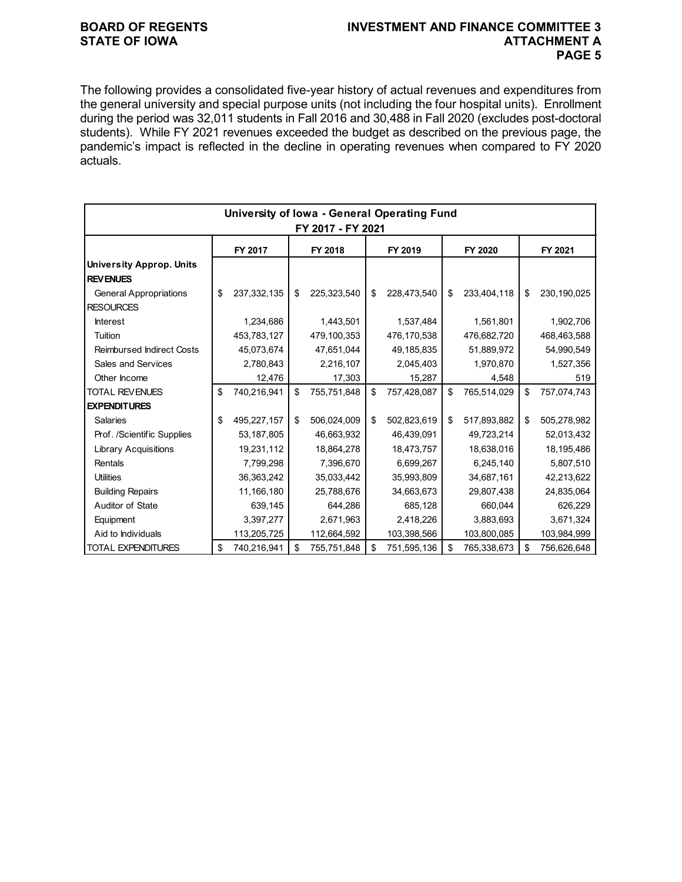## **BOARD OF REGENTS INVESTMENT AND FINANCE COMMITTEE 3 PAGE 5**

The following provides a consolidated five-year history of actual revenues and expenditures from the general university and special purpose units (not including the four hospital units). Enrollment during the period was 32,011 students in Fall 2016 and 30,488 in Fall 2020 (excludes post-doctoral students). While FY 2021 revenues exceeded the budget as described on the previous page, the pandemic's impact is reflected in the decline in operating revenues when compared to FY 2020 actuals.

|                                  |    | University of Iowa - General Operating Fund |    |             |    |             |    |             |    |             |
|----------------------------------|----|---------------------------------------------|----|-------------|----|-------------|----|-------------|----|-------------|
| FY 2017 - FY 2021                |    |                                             |    |             |    |             |    |             |    |             |
|                                  |    | FY 2017                                     |    | FY 2018     |    | FY 2019     |    | FY 2020     |    | FY 2021     |
| <b>University Approp. Units</b>  |    |                                             |    |             |    |             |    |             |    |             |
| <b>REVENUES</b>                  |    |                                             |    |             |    |             |    |             |    |             |
| <b>General Appropriations</b>    | \$ | 237,332,135                                 | \$ | 225,323,540 | \$ | 228,473,540 | \$ | 233,404,118 | \$ | 230,190,025 |
| <b>RESOURCES</b>                 |    |                                             |    |             |    |             |    |             |    |             |
| <b>Interest</b>                  |    | 1,234,686                                   |    | 1,443,501   |    | 1,537,484   |    | 1,561,801   |    | 1,902,706   |
| Tuition                          |    | 453,783,127                                 |    | 479,100,353 |    | 476,170,538 |    | 476,682,720 |    | 468,463,588 |
| <b>Reimbursed Indirect Costs</b> |    | 45,073,674                                  |    | 47,651,044  |    | 49,185,835  |    | 51,889,972  |    | 54,990,549  |
| Sales and Services               |    | 2,780,843                                   |    | 2,216,107   |    | 2,045,403   |    | 1,970,870   |    | 1,527,356   |
| Other Income                     |    | 12,476                                      |    | 17,303      |    | 15,287      |    | 4,548       |    | 519         |
| <b>TOTAL REVENUES</b>            | \$ | 740,216,941                                 | \$ | 755,751,848 | \$ | 757,428,087 | \$ | 765,514,029 | \$ | 757,074,743 |
| <b>EXPENDITURES</b>              |    |                                             |    |             |    |             |    |             |    |             |
| <b>Salaries</b>                  | \$ | 495,227,157                                 | \$ | 506,024,009 | \$ | 502,823,619 | \$ | 517,893,882 | \$ | 505,278,982 |
| Prof. /Scientific Supplies       |    | 53,187,805                                  |    | 46,663,932  |    | 46,439,091  |    | 49,723,214  |    | 52,013,432  |
| <b>Library Acquisitions</b>      |    | 19,231,112                                  |    | 18,864,278  |    | 18,473,757  |    | 18,638,016  |    | 18,195,486  |
| Rentals                          |    | 7,799,298                                   |    | 7,396,670   |    | 6,699,267   |    | 6,245,140   |    | 5,807,510   |
| <b>Utilities</b>                 |    | 36,363,242                                  |    | 35,033,442  |    | 35,993,809  |    | 34,687,161  |    | 42,213,622  |
| <b>Building Repairs</b>          |    | 11,166,180                                  |    | 25,788,676  |    | 34,663,673  |    | 29,807,438  |    | 24,835,064  |
| Auditor of State                 |    | 639,145                                     |    | 644,286     |    | 685,128     |    | 660,044     |    | 626,229     |
| Equipment                        |    | 3,397,277                                   |    | 2,671,963   |    | 2,418,226   |    | 3,883,693   |    | 3,671,324   |
| Aid to Individuals               |    | 113,205,725                                 |    | 112,664,592 |    | 103,398,566 |    | 103,800,085 |    | 103,984,999 |
| <b>TOTAL EXPENDITURES</b>        | \$ | 740,216,941                                 | \$ | 755,751,848 | \$ | 751,595,136 | \$ | 765,338,673 | \$ | 756,626,648 |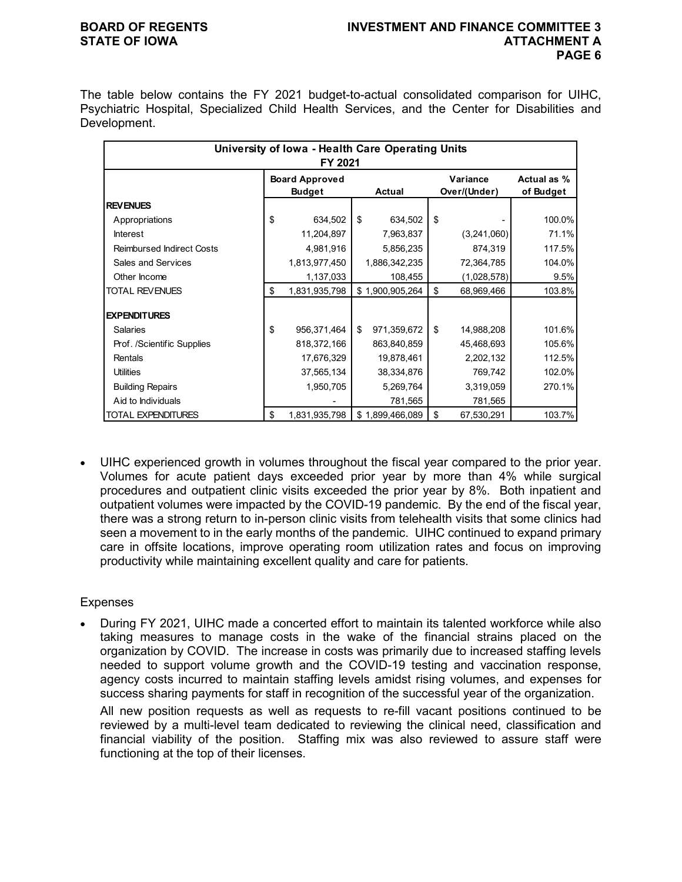## **BOARD OF REGENTS INVESTMENT AND FINANCE COMMITTEE 3 STATE OF IOWA AND RESERVE A LOCAL CONSUMING A LOCAL CONSUMERT A LOCAL CONSUMING A LOCAL CONSUMING A LOCAL CONSUMING A LOCAL CONSUMING A LOCAL CONSUMING A LOCAL CONSUMING A LOCAL CONSUMING A LOCAL CONSUMING A LOCAL CONSUMI PAGE 6**

The table below contains the FY 2021 budget-to-actual consolidated comparison for UIHC, Psychiatric Hospital, Specialized Child Health Services, and the Center for Disabilities and Development.

|                                  | University of Iowa - Health Care Operating Units |                                        |    |                 |    |                          |                          |  |  |
|----------------------------------|--------------------------------------------------|----------------------------------------|----|-----------------|----|--------------------------|--------------------------|--|--|
|                                  |                                                  | FY 2021                                |    |                 |    |                          |                          |  |  |
|                                  |                                                  | <b>Board Approved</b><br><b>Budget</b> |    | <b>Actual</b>   |    | Variance<br>Over/(Under) | Actual as %<br>of Budget |  |  |
| <b>REVENUES</b>                  |                                                  |                                        |    |                 |    |                          |                          |  |  |
| Appropriations                   | \$                                               | 634,502                                | \$ | 634,502         | \$ |                          | 100.0%                   |  |  |
| <b>Interest</b>                  |                                                  | 11,204,897                             |    | 7,963,837       |    | (3,241,060)              | 71.1%                    |  |  |
| <b>Reimbursed Indirect Costs</b> |                                                  | 4,981,916                              |    | 5,856,235       |    | 874,319                  | 117.5%                   |  |  |
| Sales and Services               |                                                  | 1,813,977,450                          |    | 1,886,342,235   |    | 72,364,785               | 104.0%                   |  |  |
| Other Income                     |                                                  | 1,137,033                              |    | 108,455         |    | (1,028,578)              | 9.5%                     |  |  |
| <b>TOTAL REVENUES</b>            | \$                                               | 1,831,935,798                          |    | \$1,900,905,264 | \$ | 68,969,466               | 103.8%                   |  |  |
| <b>EXPENDITURES</b>              |                                                  |                                        |    |                 |    |                          |                          |  |  |
| <b>Salaries</b>                  | \$                                               | 956,371,464                            | \$ | 971,359,672     | \$ | 14,988,208               | 101.6%                   |  |  |
| Prof. /Scientific Supplies       |                                                  | 818,372,166                            |    | 863,840,859     |    | 45,468,693               | 105.6%                   |  |  |
| Rentals                          |                                                  | 17,676,329                             |    | 19,878,461      |    | 2,202,132                | 112.5%                   |  |  |
| <b>Utilities</b>                 |                                                  | 37,565,134                             |    | 38,334,876      |    | 769,742                  | 102.0%                   |  |  |
| <b>Building Repairs</b>          |                                                  | 1,950,705                              |    | 5,269,764       |    | 3,319,059                | 270.1%                   |  |  |
| Aid to Individuals               |                                                  |                                        |    | 781,565         |    | 781,565                  |                          |  |  |
| <b>TOTAL EXPENDITURES</b>        | \$                                               | 1,831,935,798                          |    | \$1,899,466,089 | \$ | 67,530,291               | 103.7%                   |  |  |

• UIHC experienced growth in volumes throughout the fiscal year compared to the prior year. Volumes for acute patient days exceeded prior year by more than 4% while surgical procedures and outpatient clinic visits exceeded the prior year by 8%. Both inpatient and outpatient volumes were impacted by the COVID-19 pandemic. By the end of the fiscal year, there was a strong return to in-person clinic visits from telehealth visits that some clinics had seen a movement to in the early months of the pandemic. UIHC continued to expand primary care in offsite locations, improve operating room utilization rates and focus on improving productivity while maintaining excellent quality and care for patients.

## **Expenses**

• During FY 2021, UIHC made a concerted effort to maintain its talented workforce while also taking measures to manage costs in the wake of the financial strains placed on the organization by COVID. The increase in costs was primarily due to increased staffing levels needed to support volume growth and the COVID-19 testing and vaccination response, agency costs incurred to maintain staffing levels amidst rising volumes, and expenses for success sharing payments for staff in recognition of the successful year of the organization. All new position requests as well as requests to re-fill vacant positions continued to be reviewed by a multi-level team dedicated to reviewing the clinical need, classification and financial viability of the position. Staffing mix was also reviewed to assure staff were functioning at the top of their licenses.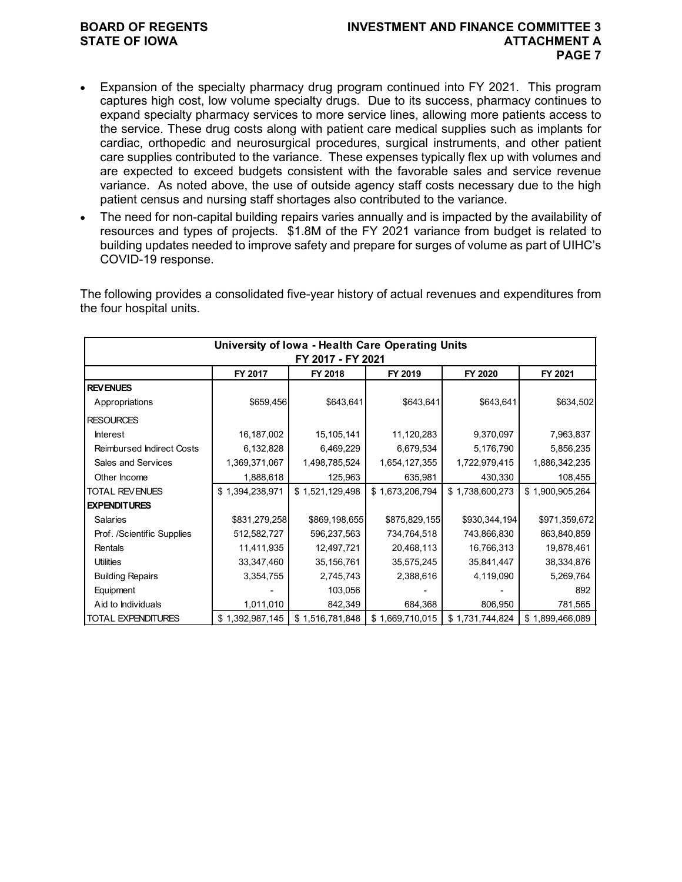## **BOARD OF REGENTS INVESTMENT AND FINANCE COMMITTEE 3 STATE OF IOWA ATTACHMENT A PAGE 7**

- Expansion of the specialty pharmacy drug program continued into FY 2021. This program captures high cost, low volume specialty drugs. Due to its success, pharmacy continues to expand specialty pharmacy services to more service lines, allowing more patients access to the service. These drug costs along with patient care medical supplies such as implants for cardiac, orthopedic and neurosurgical procedures, surgical instruments, and other patient care supplies contributed to the variance. These expenses typically flex up with volumes and are expected to exceed budgets consistent with the favorable sales and service revenue variance. As noted above, the use of outside agency staff costs necessary due to the high patient census and nursing staff shortages also contributed to the variance.
- The need for non-capital building repairs varies annually and is impacted by the availability of resources and types of projects. \$1.8M of the FY 2021 variance from budget is related to building updates needed to improve safety and prepare for surges of volume as part of UIHC's COVID-19 response.

The following provides a consolidated five-year history of actual revenues and expenditures from the four hospital units.

| University of Iowa - Health Care Operating Units<br>FY 2017 - FY 2021 |                 |                 |                 |                 |                 |  |  |  |
|-----------------------------------------------------------------------|-----------------|-----------------|-----------------|-----------------|-----------------|--|--|--|
|                                                                       | FY 2017         | FY 2018         | FY 2019         | FY 2020         | FY 2021         |  |  |  |
| <b>REVENUES</b>                                                       |                 |                 |                 |                 |                 |  |  |  |
| Appropriations                                                        | \$659,456       | \$643,641       | \$643,641       | \$643,641       | \$634,502       |  |  |  |
| <b>RESOURCES</b>                                                      |                 |                 |                 |                 |                 |  |  |  |
| <b>Interest</b>                                                       | 16,187,002      | 15,105,141      | 11,120,283      | 9,370,097       | 7,963,837       |  |  |  |
| <b>Reimbursed Indirect Costs</b>                                      | 6,132,828       | 6,469,229       | 6,679,534       | 5,176,790       | 5,856,235       |  |  |  |
| Sales and Services                                                    | 1,369,371,067   | 1,498,785,524   | 1,654,127,355   | 1,722,979,415   | 1,886,342,235   |  |  |  |
| Other Income                                                          | 1,888,618       | 125,963         | 635,981         | 430,330         | 108,455         |  |  |  |
| <b>TOTAL REVENUES</b>                                                 | \$1,394,238,971 | \$1,521,129,498 | \$1,673,206,794 | \$1,738,600,273 | \$1,900,905,264 |  |  |  |
| <b>EXPENDITURES</b>                                                   |                 |                 |                 |                 |                 |  |  |  |
| <b>Salaries</b>                                                       | \$831,279,258   | \$869,198,655   | \$875,829,155   | \$930,344,194   | \$971,359,672   |  |  |  |
| Prof. /Scientific Supplies                                            | 512,582,727     | 596,237,563     | 734,764,518     | 743,866,830     | 863,840,859     |  |  |  |
| Rentals                                                               | 11,411,935      | 12,497,721      | 20,468,113      | 16,766,313      | 19,878,461      |  |  |  |
| <b>Utilities</b>                                                      | 33,347,460      | 35,156,761      | 35,575,245      | 35,841,447      | 38,334,876      |  |  |  |
| <b>Building Repairs</b>                                               | 3,354,755       | 2,745,743       | 2,388,616       | 4,119,090       | 5,269,764       |  |  |  |
| Equipment                                                             |                 | 103,056         |                 |                 | 892             |  |  |  |
| Aid to Individuals                                                    | 1,011,010       | 842,349         | 684,368         | 806,950         | 781,565         |  |  |  |
| <b>TOTAL EXPENDITURES</b>                                             | \$1,392,987,145 | \$1,516,781,848 | \$1,669,710,015 | \$1,731,744,824 | \$1,899,466,089 |  |  |  |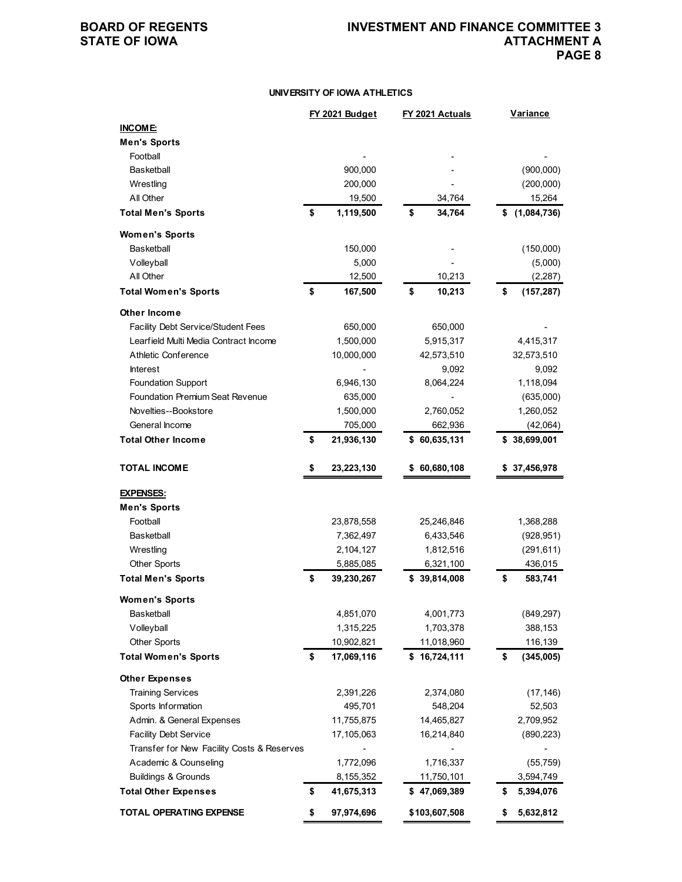### **UNIVERSITY OF IOWA ATHLETICS**

|                                            | FY 2021 Budget   | FY 2021 Actuals | <b>Variance</b>   |
|--------------------------------------------|------------------|-----------------|-------------------|
| <b>INCOME:</b>                             |                  |                 |                   |
| <b>Men's Sports</b>                        |                  |                 |                   |
| Football                                   |                  |                 |                   |
| Basketball                                 | 900,000          |                 | (900,000)         |
| Wrestling                                  | 200,000          |                 | (200,000)         |
| All Other                                  | 19,500           | 34,764          | 15,264            |
| <b>Total Men's Sports</b>                  | \$<br>1,119,500  | \$<br>34,764    | \$<br>(1,084,736) |
| <b>Women's Sports</b>                      |                  |                 |                   |
| <b>Basketball</b>                          | 150,000          |                 | (150,000)         |
| Volleyball                                 | 5,000            |                 | (5,000)           |
| All Other                                  | 12,500           | 10,213          | (2, 287)          |
| <b>Total Women's Sports</b>                | \$<br>167,500    | \$<br>10,213    | \$<br>(157, 287)  |
| Other Income                               |                  |                 |                   |
| Facility Debt Service/Student Fees         | 650,000          | 650,000         |                   |
| Learfield Multi Media Contract Income      | 1,500,000        | 5,915,317       | 4,415,317         |
| Athletic Conference                        | 10,000,000       | 42,573,510      | 32,573,510        |
| <b>Interest</b>                            |                  | 9,092           | 9,092             |
| <b>Foundation Support</b>                  | 6,946,130        | 8,064,224       | 1,118,094         |
| Foundation Premium Seat Revenue            | 635,000          |                 | (635,000)         |
| Novelties--Bookstore                       | 1,500,000        | 2,760,052       | 1,260,052         |
| General Income                             | 705,000          | 662,936         | (42,064)          |
| <b>Total Other Income</b>                  | \$<br>21,936,130 | \$60,635,131    | \$38,699,001      |
|                                            |                  |                 |                   |
| <b>TOTAL INCOME</b>                        | \$<br>23,223,130 | 60,680,108      | \$37,456,978      |
| <b>EXPENSES:</b>                           |                  |                 |                   |
| <b>Men's Sports</b>                        |                  |                 |                   |
| Football                                   | 23,878,558       | 25,246,846      | 1,368,288         |
| <b>Basketball</b>                          | 7,362,497        | 6,433,546       | (928, 951)        |
| Wrestling                                  | 2,104,127        | 1,812,516       | (291, 611)        |
| <b>Other Sports</b>                        | 5,885,085        | 6,321,100       | 436,015           |
| <b>Total Men's Sports</b>                  | \$<br>39,230,267 | \$39,814,008    | \$<br>583,741     |
| <b>Women's Sports</b>                      |                  |                 |                   |
| Basketball                                 | 4,851,070        | 4,001,773       | (849, 297)        |
| Volleyball                                 | 1,315,225        | 1,703,378       | 388,153           |
| <b>Other Sports</b>                        | 10,902,821       | 11,018,960      | 116,139           |
| <b>Total Women's Sports</b>                | \$<br>17,069,116 | \$16,724,111    | \$<br>(345,005)   |
| <b>Other Expenses</b>                      |                  |                 |                   |
| <b>Training Services</b>                   | 2,391,226        | 2,374,080       | (17, 146)         |
| Sports Information                         | 495,701          | 548,204         | 52,503            |
| Admin. & General Expenses                  | 11,755,875       | 14,465,827      | 2,709,952         |
| <b>Facility Debt Service</b>               | 17,105,063       | 16,214,840      | (890, 223)        |
| Transfer for New Facility Costs & Reserves |                  |                 |                   |
| Academic & Counseling                      | 1,772,096        | 1,716,337       | (55, 759)         |
| <b>Buildings &amp; Grounds</b>             | 8,155,352        | 11,750,101      | 3,594,749         |
| <b>Total Other Expenses</b>                | \$<br>41,675,313 | \$47,069,389    | \$<br>5,394,076   |
| <b>TOTAL OPERATING EXPENSE</b>             | \$<br>97,974,696 | \$103,607,508   | \$<br>5,632,812   |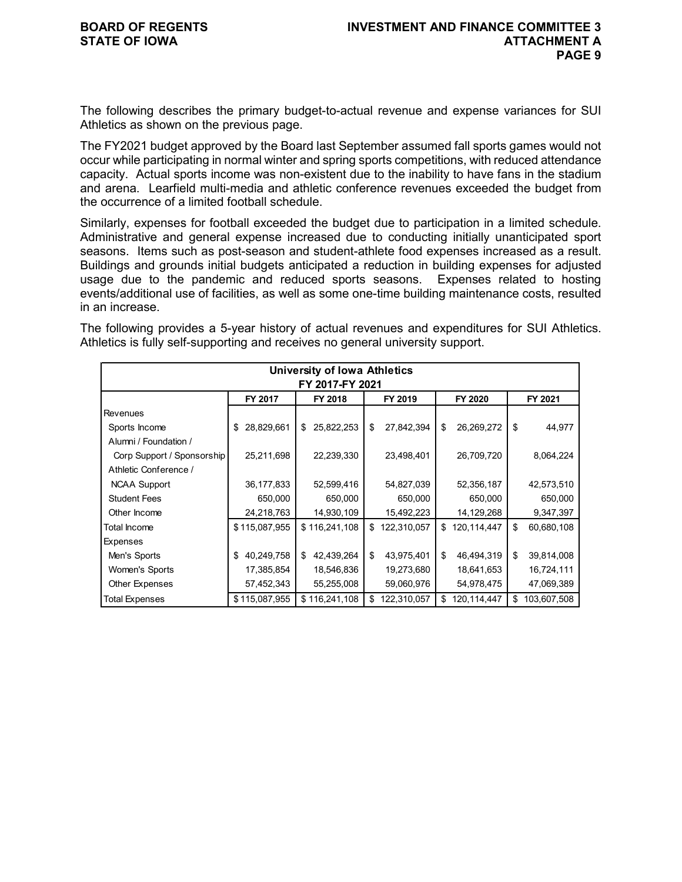The following describes the primary budget-to-actual revenue and expense variances for SUI Athletics as shown on the previous page.

The FY2021 budget approved by the Board last September assumed fall sports games would not occur while participating in normal winter and spring sports competitions, with reduced attendance capacity. Actual sports income was non-existent due to the inability to have fans in the stadium and arena. Learfield multi-media and athletic conference revenues exceeded the budget from the occurrence of a limited football schedule.

Similarly, expenses for football exceeded the budget due to participation in a limited schedule. Administrative and general expense increased due to conducting initially unanticipated sport seasons. Items such as post-season and student-athlete food expenses increased as a result. Buildings and grounds initial budgets anticipated a reduction in building expenses for adjusted usage due to the pandemic and reduced sports seasons. Expenses related to hosting events/additional use of facilities, as well as some one-time building maintenance costs, resulted in an increase.

The following provides a 5-year history of actual revenues and expenditures for SUI Athletics. Athletics is fully self-supporting and receives no general university support.

| <b>University of Iowa Athletics</b><br>FY 2017-FY 2021 |                  |                  |                   |                   |                   |  |  |  |  |
|--------------------------------------------------------|------------------|------------------|-------------------|-------------------|-------------------|--|--|--|--|
|                                                        | FY 2017          | FY 2018          | FY 2019           | FY 2020           | FY 2021           |  |  |  |  |
| <b>Revenues</b>                                        |                  |                  |                   |                   |                   |  |  |  |  |
| Sports Income                                          | 28,829,661<br>\$ | 25,822,253<br>\$ | 27,842,394<br>\$  | 26,269,272<br>\$  | \$<br>44,977      |  |  |  |  |
| Alumni / Foundation /                                  |                  |                  |                   |                   |                   |  |  |  |  |
| Corp Support / Sponsorship                             | 25,211,698       | 22,239,330       | 23,498,401        | 26,709,720        | 8,064,224         |  |  |  |  |
| Athletic Conference /                                  |                  |                  |                   |                   |                   |  |  |  |  |
| <b>NCAA Support</b>                                    | 36,177,833       | 52,599,416       | 54,827,039        | 52,356,187        | 42,573,510        |  |  |  |  |
| <b>Student Fees</b>                                    | 650,000          | 650,000          | 650,000           | 650,000           | 650,000           |  |  |  |  |
| Other Income                                           | 24,218,763       | 14,930,109       | 15,492,223        | 14,129,268        | 9,347,397         |  |  |  |  |
| <b>Total Income</b>                                    | \$115,087,955    | \$116,241,108    | 122,310,057<br>\$ | 120,114,447<br>\$ | \$<br>60,680,108  |  |  |  |  |
| Expenses                                               |                  |                  |                   |                   |                   |  |  |  |  |
| Men's Sports                                           | 40,249,758<br>\$ | 42,439,264<br>\$ | \$<br>43,975,401  | \$<br>46,494,319  | \$<br>39,814,008  |  |  |  |  |
| Women's Sports                                         | 17,385,854       | 18,546,836       | 19,273,680        | 18,641,653        | 16,724,111        |  |  |  |  |
| Other Expenses                                         | 57,452,343       | 55,255,008       | 59,060,976        | 54,978,475        | 47,069,389        |  |  |  |  |
| <b>Total Expenses</b>                                  | \$115,087,955    | \$116,241,108    | 122,310,057<br>\$ | \$<br>120,114,447 | \$<br>103,607,508 |  |  |  |  |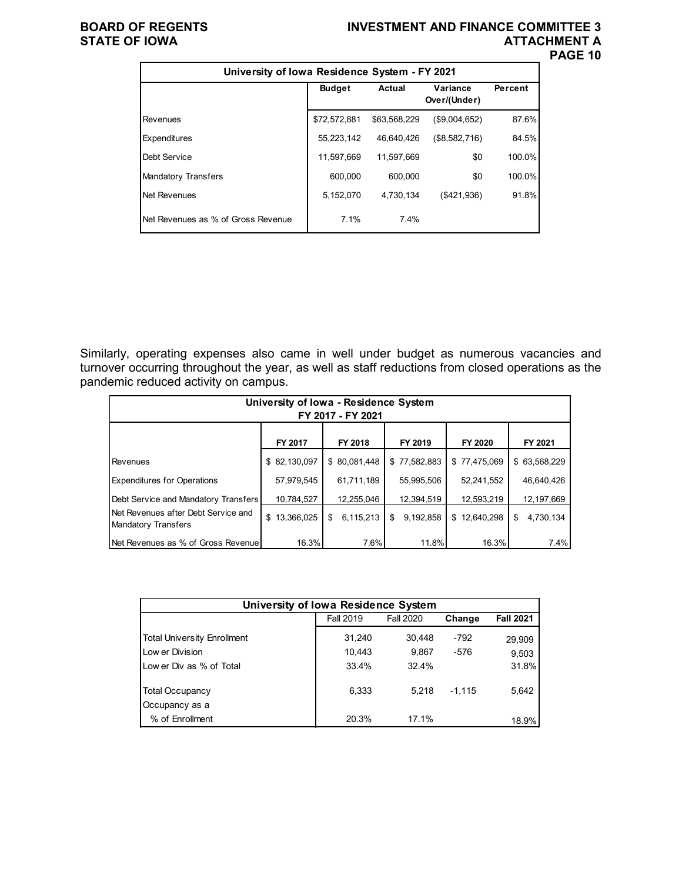## **BOARD OF REGENTS INVESTMENT AND FINANCE COMMITTEE 3 ATTACHMENT A PAGE 10**

| University of Iowa Residence System - FY 2021 |               |              |                          |         |
|-----------------------------------------------|---------------|--------------|--------------------------|---------|
|                                               | <b>Budget</b> | Actual       | Variance<br>Over/(Under) | Percent |
| Revenues                                      | \$72,572,881  | \$63,568,229 | (\$9,004,652)            | 87.6%   |
| Expenditures                                  | 55,223,142    | 46,640,426   | (\$8,582,716)            | 84.5%   |
| Debt Service                                  | 11,597,669    | 11.597.669   | \$0                      | 100.0%  |
| <b>Mandatory Transfers</b>                    | 600.000       | 600,000      | \$0                      | 100.0%  |
| Net Revenues                                  | 5,152,070     | 4,730,134    | (\$421,936)              | 91.8%   |
| Net Revenues as % of Gross Revenue            | 7.1%          | 7.4%         |                          |         |

Similarly, operating expenses also came in well under budget as numerous vacancies and turnover occurring throughout the year, as well as staff reductions from closed operations as the pandemic reduced activity on campus.

| University of Iowa - Residence System<br>FY 2017 - FY 2021 |              |                 |                 |              |                 |  |  |  |  |
|------------------------------------------------------------|--------------|-----------------|-----------------|--------------|-----------------|--|--|--|--|
|                                                            | FY 2017      | FY 2018         | FY 2019         | FY 2020      | FY 2021         |  |  |  |  |
| Revenues                                                   | \$82,130,097 | \$80,081,448    | \$77,582,883    | \$77,475,069 | \$63,568,229    |  |  |  |  |
| <b>Expenditures for Operations</b>                         | 57,979,545   | 61,711,189      | 55,995,506      | 52,241,552   | 46,640,426      |  |  |  |  |
| Debt Service and Mandatory Transfers                       | 10,784,527   | 12,255,046      | 12,394,519      | 12,593,219   | 12,197,669      |  |  |  |  |
| Net Revenues after Debt Service and<br>Mandatory Transfers | \$13,366,025 | 6,115,213<br>\$ | 9,192,858<br>\$ | \$12,640,298 | 4,730,134<br>\$ |  |  |  |  |
| <b>INet Revenues as % of Gross Revenuel</b>                | 16.3%        | 7.6%            | 11.8%           | 16.3%        | 7.4%            |  |  |  |  |

| University of Iowa Residence System |                  |                  |          |                  |  |  |  |  |  |
|-------------------------------------|------------------|------------------|----------|------------------|--|--|--|--|--|
|                                     | <b>Fall 2019</b> | <b>Fall 2020</b> | Change   | <b>Fall 2021</b> |  |  |  |  |  |
| <b>Total University Enrollment</b>  | 31,240           | 30,448           | $-792$   | 29,909           |  |  |  |  |  |
| Low er Division                     | 10.443           | 9.867            | $-576$   | 9,503            |  |  |  |  |  |
| Low er Div as % of Total            | 33.4%            | 32.4%            |          | 31.8%            |  |  |  |  |  |
| <b>Total Occupancy</b>              | 6.333            | 5.218            | $-1,115$ | 5,642            |  |  |  |  |  |
| Occupancy as a                      |                  |                  |          |                  |  |  |  |  |  |
| % of Enrollment                     | 20.3%            | 17.1%            |          | 18.9%            |  |  |  |  |  |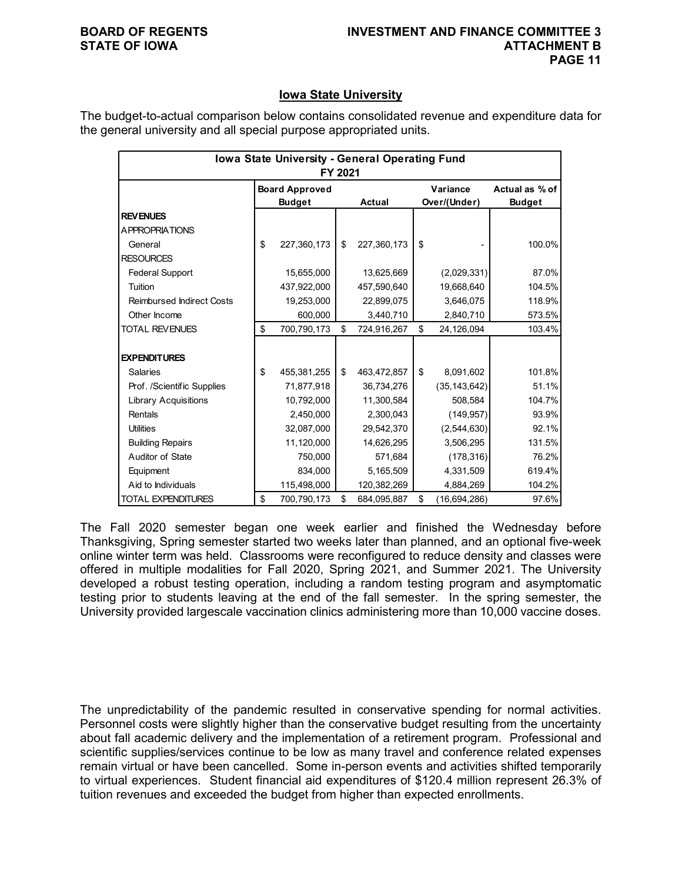## **Iowa State University**

The budget-to-actual comparison below contains consolidated revenue and expenditure data for the general university and all special purpose appropriated units.

| Iowa State University - General Operating Fund<br>FY 2021 |                                        |             |    |               |    |                          |                                 |  |  |  |  |  |
|-----------------------------------------------------------|----------------------------------------|-------------|----|---------------|----|--------------------------|---------------------------------|--|--|--|--|--|
|                                                           | <b>Board Approved</b><br><b>Budget</b> |             |    | <b>Actual</b> |    | Variance<br>Over/(Under) | Actual as % of<br><b>Budget</b> |  |  |  |  |  |
| <b>REVENUES</b>                                           |                                        |             |    |               |    |                          |                                 |  |  |  |  |  |
| <b>APPROPRIATIONS</b>                                     |                                        |             |    |               |    |                          |                                 |  |  |  |  |  |
| General                                                   | \$                                     | 227,360,173 | \$ | 227,360,173   | \$ |                          | 100.0%                          |  |  |  |  |  |
| <b>RESOURCES</b>                                          |                                        |             |    |               |    |                          |                                 |  |  |  |  |  |
| <b>Federal Support</b>                                    |                                        | 15,655,000  |    | 13,625,669    |    | (2,029,331)              | 87.0%                           |  |  |  |  |  |
| Tuition                                                   |                                        | 437,922,000 |    | 457,590,640   |    | 19,668,640               | 104.5%                          |  |  |  |  |  |
| <b>Reimbursed Indirect Costs</b>                          |                                        | 19,253,000  |    | 22,899,075    |    | 3,646,075                | 118.9%                          |  |  |  |  |  |
| Other Income                                              |                                        | 600,000     |    | 3,440,710     |    | 2,840,710                | 573.5%                          |  |  |  |  |  |
| <b>TOTAL REVENUES</b>                                     | \$                                     | 700,790,173 | \$ | 724,916,267   | \$ | 24,126,094               | 103.4%                          |  |  |  |  |  |
|                                                           |                                        |             |    |               |    |                          |                                 |  |  |  |  |  |
| <b>EXPENDITURES</b>                                       |                                        |             |    |               |    |                          |                                 |  |  |  |  |  |
| <b>Salaries</b>                                           | \$                                     | 455,381,255 | \$ | 463,472,857   | \$ | 8,091,602                | 101.8%                          |  |  |  |  |  |
| Prof. /Scientific Supplies                                |                                        | 71,877,918  |    | 36,734,276    |    | (35, 143, 642)           | 51.1%                           |  |  |  |  |  |
| <b>Library Acquisitions</b>                               |                                        | 10,792,000  |    | 11,300,584    |    | 508,584                  | 104.7%                          |  |  |  |  |  |
| Rentals                                                   |                                        | 2,450,000   |    | 2,300,043     |    | (149, 957)               | 93.9%                           |  |  |  |  |  |
| <b>Utilities</b>                                          |                                        | 32,087,000  |    | 29,542,370    |    | (2,544,630)              | 92.1%                           |  |  |  |  |  |
| <b>Building Repairs</b>                                   |                                        | 11,120,000  |    | 14,626,295    |    | 3,506,295                | 131.5%                          |  |  |  |  |  |
| Auditor of State                                          |                                        | 750,000     |    | 571,684       |    | (178, 316)               | 76.2%                           |  |  |  |  |  |
| Equipment                                                 |                                        | 834,000     |    | 5,165,509     |    | 4,331,509                | 619.4%                          |  |  |  |  |  |
| Aid to Individuals                                        |                                        | 115,498,000 |    | 120,382,269   |    | 4,884,269                | 104.2%                          |  |  |  |  |  |
| <b>TOTAL EXPENDITURES</b>                                 | \$                                     | 700,790,173 | \$ | 684,095,887   | \$ | (16,694,286)             | 97.6%                           |  |  |  |  |  |

The Fall 2020 semester began one week earlier and finished the Wednesday before Thanksgiving, Spring semester started two weeks later than planned, and an optional five-week online winter term was held. Classrooms were reconfigured to reduce density and classes were offered in multiple modalities for Fall 2020, Spring 2021, and Summer 2021. The University developed a robust testing operation, including a random testing program and asymptomatic testing prior to students leaving at the end of the fall semester. In the spring semester, the University provided largescale vaccination clinics administering more than 10,000 vaccine doses.

The unpredictability of the pandemic resulted in conservative spending for normal activities. Personnel costs were slightly higher than the conservative budget resulting from the uncertainty about fall academic delivery and the implementation of a retirement program. Professional and scientific supplies/services continue to be low as many travel and conference related expenses remain virtual or have been cancelled. Some in-person events and activities shifted temporarily to virtual experiences. Student financial aid expenditures of \$120.4 million represent 26.3% of tuition revenues and exceeded the budget from higher than expected enrollments.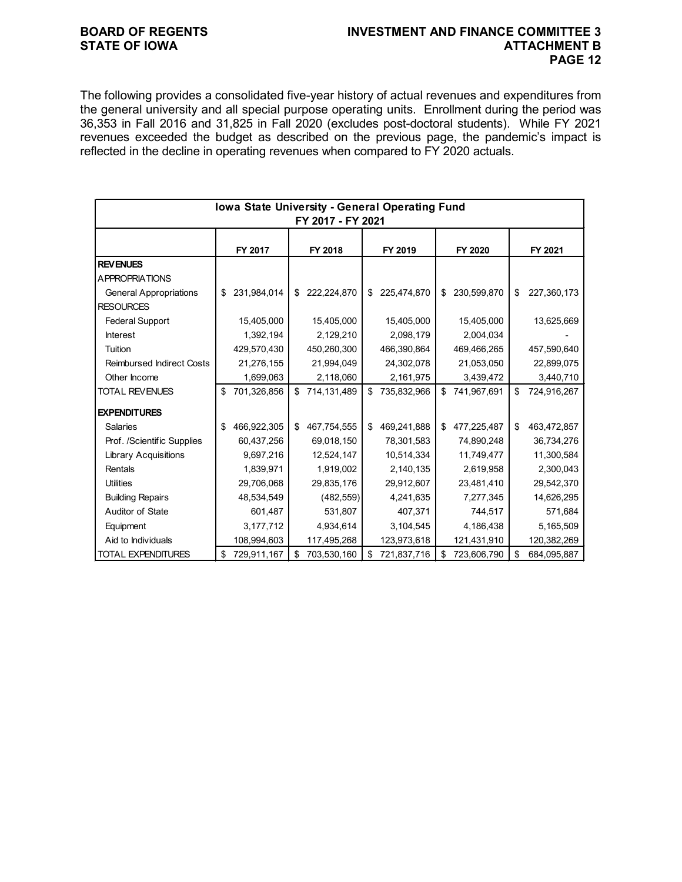## **BOARD OF REGENTS INVESTMENT AND FINANCE COMMITTEE 3 PAGE 12**

The following provides a consolidated five-year history of actual revenues and expenditures from the general university and all special purpose operating units. Enrollment during the period was 36,353 in Fall 2016 and 31,825 in Fall 2020 (excludes post-doctoral students). While FY 2021 revenues exceeded the budget as described on the previous page, the pandemic's impact is reflected in the decline in operating revenues when compared to FY 2020 actuals.

|                                  | Iowa State University - General Operating Fund | FY 2017 - FY 2021 |                   |                   |                   |
|----------------------------------|------------------------------------------------|-------------------|-------------------|-------------------|-------------------|
|                                  | FY 2017                                        | FY 2018           | FY 2019           | FY 2020           | FY 2021           |
| <b>REV ENUES</b>                 |                                                |                   |                   |                   |                   |
| <b>APPROPRIATIONS</b>            |                                                |                   |                   |                   |                   |
| <b>General Appropriations</b>    | \$<br>231,984,014                              | \$<br>222,224,870 | \$<br>225,474,870 | \$<br>230,599,870 | \$<br>227,360,173 |
| <b>RESOURCES</b>                 |                                                |                   |                   |                   |                   |
| <b>Federal Support</b>           | 15,405,000                                     | 15,405,000        | 15,405,000        | 15,405,000        | 13,625,669        |
| <b>Interest</b>                  | 1,392,194                                      | 2,129,210         | 2,098,179         | 2,004,034         |                   |
| Tuition                          | 429,570,430                                    | 450,260,300       | 466,390,864       | 469,466,265       | 457,590,640       |
| <b>Reimbursed Indirect Costs</b> | 21,276,155                                     | 21,994,049        | 24,302,078        | 21,053,050        | 22,899,075        |
| Other Income                     | 1,699,063                                      | 2,118,060         | 2,161,975         | 3,439,472         | 3,440,710         |
| <b>TOTAL REVENUES</b>            | \$<br>701,326,856                              | \$<br>714,131,489 | \$<br>735,832,966 | \$<br>741,967,691 | \$<br>724,916,267 |
| <b>EXPENDITURES</b>              |                                                |                   |                   |                   |                   |
| <b>Salaries</b>                  | \$<br>466,922,305                              | \$<br>467,754,555 | \$<br>469,241,888 | \$<br>477,225,487 | \$<br>463,472,857 |
| Prof. /Scientific Supplies       | 60,437,256                                     | 69,018,150        | 78,301,583        | 74,890,248        | 36,734,276        |
| <b>Library Acquisitions</b>      | 9,697,216                                      | 12,524,147        | 10,514,334        | 11,749,477        | 11,300,584        |
| Rentals                          | 1,839,971                                      | 1,919,002         | 2,140,135         | 2,619,958         | 2,300,043         |
| <b>Utilities</b>                 | 29,706,068                                     | 29,835,176        | 29,912,607        | 23,481,410        | 29,542,370        |
| <b>Building Repairs</b>          | 48,534,549                                     | (482, 559)        | 4,241,635         | 7,277,345         | 14,626,295        |
| Auditor of State                 | 601,487                                        | 531,807           | 407,371           | 744,517           | 571,684           |
| Equipment                        | 3,177,712                                      | 4,934,614         | 3,104,545         | 4,186,438         | 5,165,509         |
| Aid to Individuals               | 108,994,603                                    | 117,495,268       | 123,973,618       | 121,431,910       | 120,382,269       |
| <b>TOTAL EXPENDITURES</b>        | \$<br>729,911,167                              | \$<br>703,530,160 | \$<br>721,837,716 | \$<br>723,606,790 | \$<br>684,095,887 |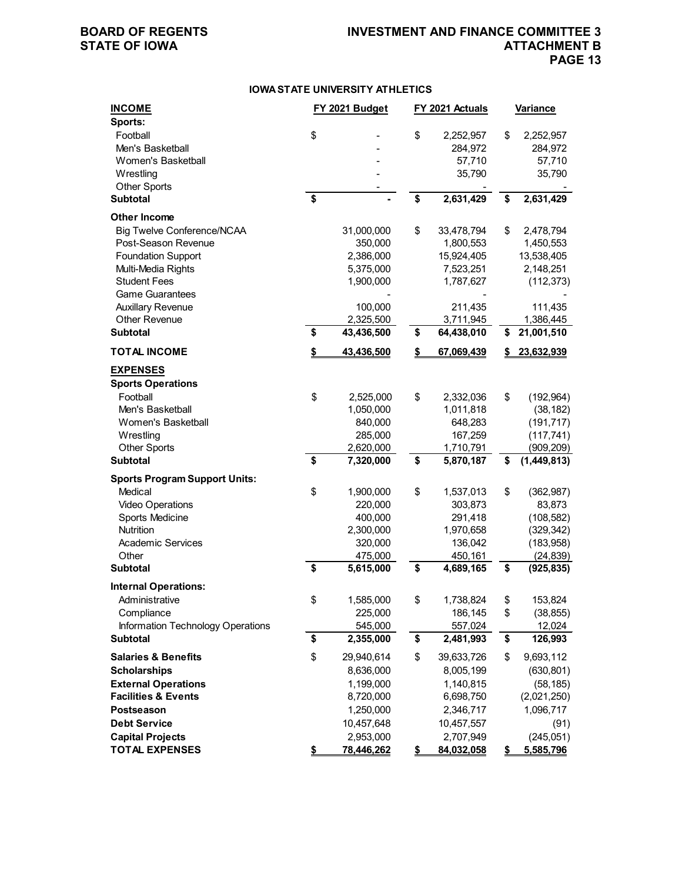## **BOARD OF REGENTS INVESTMENT AND FINANCE COMMITTEE 3 ATTACHMENT B PAGE 13**

### **IOWA STATE UNIVERSITY ATHLETICS**

| <b>INCOME</b>                          | FY 2021 Budget<br>FY 2021 Actuals |            | <u>Variance</u>  |    |             |
|----------------------------------------|-----------------------------------|------------|------------------|----|-------------|
| Sports:                                |                                   |            |                  |    |             |
| Football                               | \$                                |            | \$<br>2,252,957  | \$ | 2,252,957   |
| Men's Basketball                       |                                   |            | 284,972          |    | 284,972     |
| Women's Basketball                     |                                   |            | 57,710           |    | 57,710      |
| Wrestling                              |                                   |            | 35,790           |    | 35,790      |
| <b>Other Sports</b>                    |                                   |            |                  |    |             |
| <b>Subtotal</b>                        | \$                                |            | \$<br>2,631,429  | \$ | 2,631,429   |
| <b>Other Income</b>                    |                                   |            |                  |    |             |
| <b>Big Twelve Conference/NCAA</b>      |                                   | 31,000,000 | \$<br>33,478,794 | \$ | 2,478,794   |
| Post-Season Revenue                    |                                   | 350,000    | 1,800,553        |    | 1,450,553   |
| <b>Foundation Support</b>              |                                   | 2,386,000  | 15,924,405       |    | 13,538,405  |
| Multi-Media Rights                     |                                   | 5,375,000  | 7,523,251        |    | 2,148,251   |
| <b>Student Fees</b>                    |                                   | 1,900,000  | 1,787,627        |    | (112, 373)  |
| <b>Game Guarantees</b>                 |                                   |            |                  |    |             |
| <b>Auxillary Revenue</b>               |                                   | 100,000    | 211,435          |    | 111,435     |
| <b>Other Revenue</b>                   |                                   | 2,325,500  | 3,711,945        |    | 1,386,445   |
| <b>Subtotal</b>                        | \$                                | 43,436,500 | \$<br>64,438,010 | \$ | 21,001,510  |
| <b>TOTAL INCOME</b>                    | \$                                | 43,436,500 | \$<br>67,069,439 | \$ | 23,632,939  |
| <b>EXPENSES</b>                        |                                   |            |                  |    |             |
| <b>Sports Operations</b>               |                                   |            |                  |    |             |
| Football                               | \$                                | 2,525,000  | \$<br>2,332,036  | \$ | (192, 964)  |
| Men's Basketball                       |                                   | 1,050,000  | 1,011,818        |    |             |
|                                        |                                   |            |                  |    | (38, 182)   |
| Women's Basketball                     |                                   | 840,000    | 648,283          |    | (191, 717)  |
| Wrestling                              |                                   | 285,000    | 167,259          |    | (117, 741)  |
| <b>Other Sports</b><br><b>Subtotal</b> | \$                                | 2,620,000  | \$<br>1,710,791  |    | (909, 209)  |
|                                        |                                   | 7,320,000  | 5,870,187        | \$ | (1,449,813) |
| <b>Sports Program Support Units:</b>   |                                   |            |                  |    |             |
| Medical                                | \$                                | 1,900,000  | \$<br>1,537,013  | \$ | (362, 987)  |
| <b>Video Operations</b>                |                                   | 220,000    | 303,873          |    | 83,873      |
| Sports Medicine                        |                                   | 400,000    | 291,418          |    | (108, 582)  |
| <b>Nutrition</b>                       |                                   | 2,300,000  | 1,970,658        |    | (329, 342)  |
| <b>Academic Services</b>               |                                   | 320,000    | 136,042          |    | (183, 958)  |
| Other                                  |                                   | 475,000    | 450,161          |    | (24, 839)   |
| <b>Subtotal</b>                        | \$                                | 5,615,000  | \$<br>4,689,165  | \$ | (925, 835)  |
| <b>Internal Operations:</b>            |                                   |            |                  |    |             |
| Administrative                         | \$                                | 1,585,000  | \$<br>1,738,824  | \$ | 153,824     |
| Compliance                             |                                   | 225,000    | 186,145          | \$ | (38, 855)   |
| Information Technology Operations      |                                   | 545,000    | 557,024          |    | 12,024      |
| <b>Subtotal</b>                        | \$                                | 2,355,000  | \$<br>2,481,993  | \$ | 126,993     |
| <b>Salaries &amp; Benefits</b>         | \$                                | 29,940,614 | \$<br>39,633,726 | \$ | 9,693,112   |
| <b>Scholarships</b>                    |                                   | 8,636,000  | 8,005,199        |    | (630, 801)  |
| <b>External Operations</b>             |                                   | 1,199,000  | 1,140,815        |    | (58, 185)   |
| <b>Facilities &amp; Events</b>         |                                   | 8,720,000  | 6,698,750        |    | (2,021,250) |
| Postseason                             |                                   | 1,250,000  | 2,346,717        |    | 1,096,717   |
| <b>Debt Service</b>                    |                                   | 10,457,648 | 10,457,557       |    | (91)        |
| <b>Capital Projects</b>                |                                   | 2,953,000  | 2,707,949        |    | (245, 051)  |
| <b>TOTAL EXPENSES</b>                  | \$                                | 78,446,262 | \$<br>84,032,058 | \$ | 5,585,796   |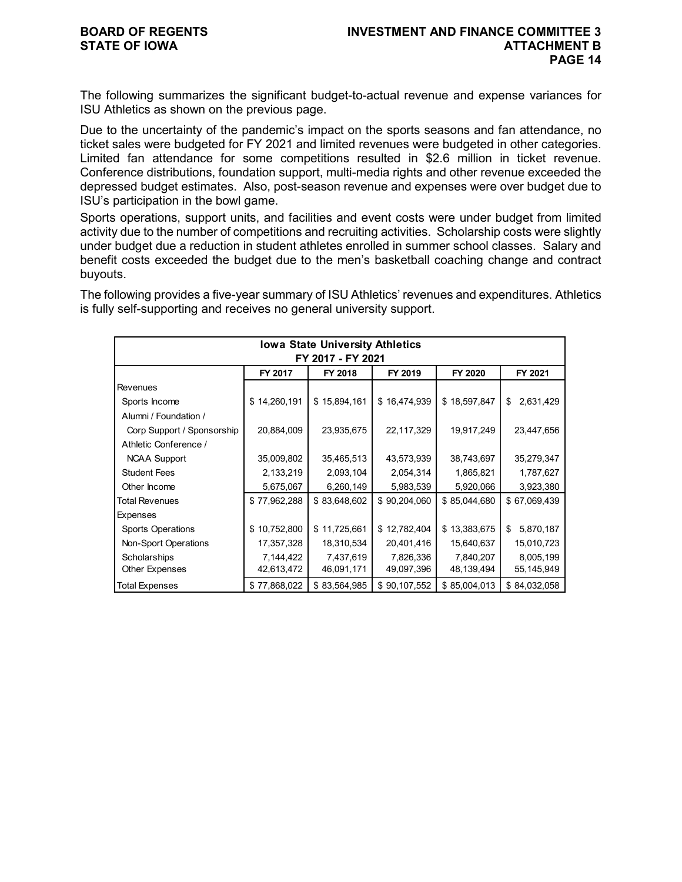The following summarizes the significant budget-to-actual revenue and expense variances for ISU Athletics as shown on the previous page.

Due to the uncertainty of the pandemic's impact on the sports seasons and fan attendance, no ticket sales were budgeted for FY 2021 and limited revenues were budgeted in other categories. Limited fan attendance for some competitions resulted in \$2.6 million in ticket revenue. Conference distributions, foundation support, multi-media rights and other revenue exceeded the depressed budget estimates. Also, post-season revenue and expenses were over budget due to ISU's participation in the bowl game.

Sports operations, support units, and facilities and event costs were under budget from limited activity due to the number of competitions and recruiting activities. Scholarship costs were slightly under budget due a reduction in student athletes enrolled in summer school classes. Salary and benefit costs exceeded the budget due to the men's basketball coaching change and contract buyouts.

The following provides a five-year summary of ISU Athletics' revenues and expenditures. Athletics is fully self-supporting and receives no general university support.

|                            |              | <b>Iowa State University Athletics</b> |              |              |                 |
|----------------------------|--------------|----------------------------------------|--------------|--------------|-----------------|
|                            |              | FY 2017 - FY 2021                      |              |              |                 |
|                            | FY 2017      | FY 2018                                | FY 2019      | FY 2020      | FY 2021         |
| Revenues                   |              |                                        |              |              |                 |
| Sports Income              | \$14,260,191 | \$15,894,161                           | \$16,474,939 | \$18,597,847 | 2,631,429<br>\$ |
| Alumni / Foundation /      |              |                                        |              |              |                 |
| Corp Support / Sponsorship | 20,884,009   | 23,935,675                             | 22,117,329   | 19,917,249   | 23,447,656      |
| Athletic Conference /      |              |                                        |              |              |                 |
| <b>NCAA Support</b>        | 35,009,802   | 35,465,513                             | 43,573,939   | 38,743,697   | 35,279,347      |
| <b>Student Fees</b>        | 2,133,219    | 2,093,104                              | 2,054,314    | 1,865,821    | 1,787,627       |
| Other Income               | 5,675,067    | 6,260,149                              | 5,983,539    | 5,920,066    | 3,923,380       |
| Total Revenues             | \$77,962,288 | \$83,648,602                           | \$90,204,060 | \$85,044,680 | \$67,069,439    |
| Expenses                   |              |                                        |              |              |                 |
| <b>Sports Operations</b>   | \$10,752,800 | \$11,725,661                           | \$12,782,404 | \$13,383,675 | 5,870,187<br>\$ |
| Non-Sport Operations       | 17,357,328   | 18,310,534                             | 20,401,416   | 15,640,637   | 15,010,723      |
| Scholarships               | 7,144,422    | 7,437,619                              | 7,826,336    | 7,840,207    | 8,005,199       |
| Other Expenses             | 42,613,472   | 46,091,171                             | 49,097,396   | 48,139,494   | 55,145,949      |
| Total Expenses             | \$77,868,022 | \$83,564,985                           | \$90,107,552 | \$85,004,013 | \$84,032,058    |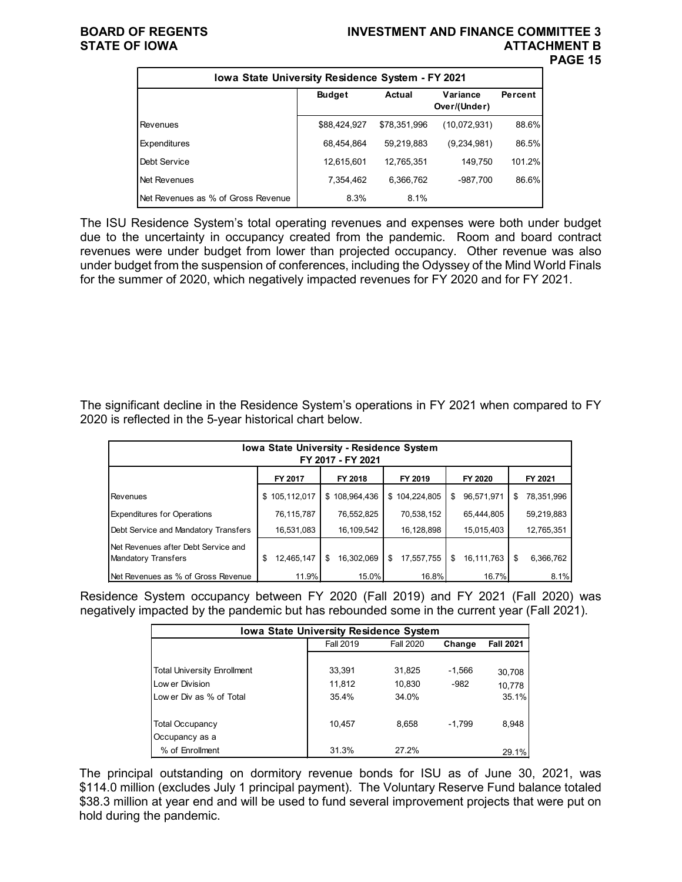### **BOARD OF REGENTS INVESTMENT AND FINANCE COMMITTEE 3 STATE OF IOWA ATTACHMENT B PAGE 15**

| Iowa State University Residence System - FY 2021 |               |              |                          |         |  |  |  |  |  |  |  |
|--------------------------------------------------|---------------|--------------|--------------------------|---------|--|--|--|--|--|--|--|
|                                                  | <b>Budget</b> | Actual       | Variance<br>Over/(Under) | Percent |  |  |  |  |  |  |  |
| Revenues                                         | \$88,424,927  | \$78,351,996 | (10,072,931)             | 88.6%   |  |  |  |  |  |  |  |
| Expenditures                                     | 68,454,864    | 59,219,883   | (9,234,981)              | 86.5%   |  |  |  |  |  |  |  |
| Debt Service                                     | 12,615,601    | 12,765,351   | 149,750                  | 101.2%  |  |  |  |  |  |  |  |
| Net Revenues                                     | 7,354,462     | 6,366,762    | -987,700                 | 86.6%   |  |  |  |  |  |  |  |
| Net Revenues as % of Gross Revenue               | 8.3%          | 8.1%         |                          |         |  |  |  |  |  |  |  |

The ISU Residence System's total operating revenues and expenses were both under budget due to the uncertainty in occupancy created from the pandemic. Room and board contract revenues were under budget from lower than projected occupancy. Other revenue was also under budget from the suspension of conferences, including the Odyssey of the Mind World Finals for the summer of 2020, which negatively impacted revenues for FY 2020 and for FY 2021.

The significant decline in the Residence System's operations in FY 2021 when compared to FY 2020 is reflected in the 5-year historical chart below.

| <b>Iowa State University - Residence System</b><br>FY 2017 - FY 2021 |                  |                  |                   |                  |                  |  |  |  |  |  |  |
|----------------------------------------------------------------------|------------------|------------------|-------------------|------------------|------------------|--|--|--|--|--|--|
|                                                                      | FY 2017          | FY 2018          | FY 2019           | FY 2020          | FY 2021          |  |  |  |  |  |  |
| Revenues                                                             | 105,112,017<br>S | \$108,964,436    | 104,224,805<br>\$ | 96,571,971<br>S  | 78,351,996<br>\$ |  |  |  |  |  |  |
| <b>Expenditures for Operations</b>                                   | 76,115,787       | 76,552,825       | 70,538,152        | 65,444,805       | 59,219,883       |  |  |  |  |  |  |
| Debt Service and Mandatory Transfers                                 | 16,531,083       | 16,109,542       | 16,128,898        | 15,015,403       | 12,765,351       |  |  |  |  |  |  |
| Net Revenues after Debt Service and<br>Mandatory Transfers           | 12,465,147<br>\$ | 16,302,069<br>\$ | 17,557,755<br>\$  | \$<br>16,111,763 | 6.366.762<br>\$  |  |  |  |  |  |  |
| <b>INet Revenues as % of Gross Revenue</b>                           | 11.9%            | 15.0%            | 16.8%             | 16.7%            | 8.1%             |  |  |  |  |  |  |

Residence System occupancy between FY 2020 (Fall 2019) and FY 2021 (Fall 2020) was negatively impacted by the pandemic but has rebounded some in the current year (Fall 2021).

| <b>Iowa State University Residence System</b> |                  |                  |          |                  |  |  |  |  |  |  |  |
|-----------------------------------------------|------------------|------------------|----------|------------------|--|--|--|--|--|--|--|
|                                               | <b>Fall 2019</b> | <b>Fall 2020</b> | Change   | <b>Fall 2021</b> |  |  |  |  |  |  |  |
|                                               |                  |                  |          |                  |  |  |  |  |  |  |  |
| <b>Total University Enrollment</b>            | 33,391           | 31,825           | $-1,566$ | 30,708           |  |  |  |  |  |  |  |
| Low er Division                               | 11,812           | 10.830           | $-982$   | 10,778           |  |  |  |  |  |  |  |
| Low er Div as % of Total                      | 35.4%            | 34.0%            |          | 35.1%            |  |  |  |  |  |  |  |
|                                               |                  |                  |          |                  |  |  |  |  |  |  |  |
| <b>Total Occupancy</b>                        | 10,457           | 8,658            | $-1.799$ | 8,948            |  |  |  |  |  |  |  |
| Occupancy as a                                |                  |                  |          |                  |  |  |  |  |  |  |  |
| % of Enrollment                               | 31.3%            | 27 2%            |          | 29.1%            |  |  |  |  |  |  |  |

The principal outstanding on dormitory revenue bonds for ISU as of June 30, 2021, was \$114.0 million (excludes July 1 principal payment). The Voluntary Reserve Fund balance totaled \$38.3 million at year end and will be used to fund several improvement projects that were put on hold during the pandemic.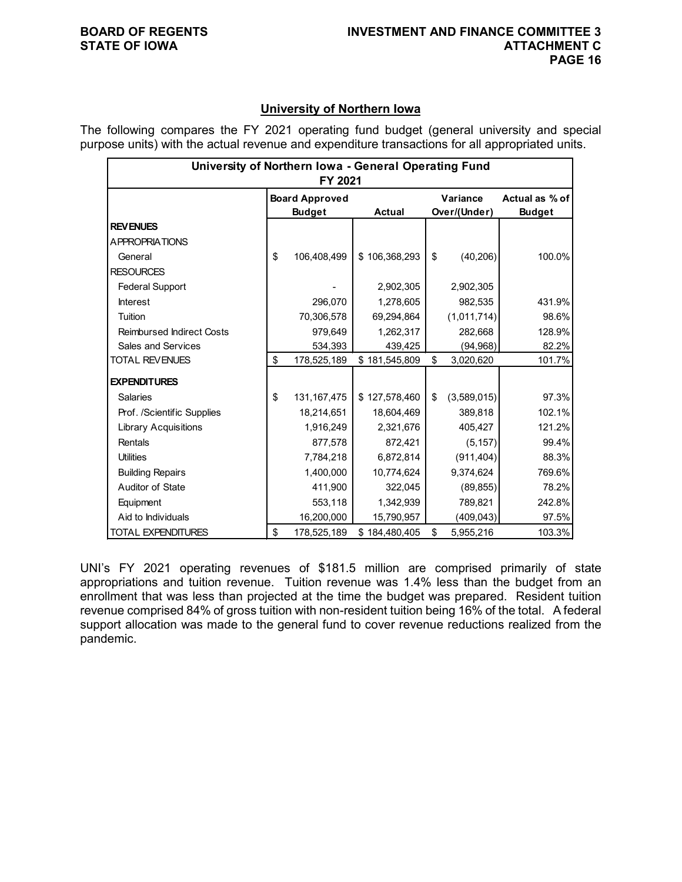## **University of Northern Iowa**

The following compares the FY 2021 operating fund budget (general university and special purpose units) with the actual revenue and expenditure transactions for all appropriated units.

| University of Northern Iowa - General Operating Fund<br>FY 2021 |    |                                        |               |    |                          |                                 |  |  |  |  |  |
|-----------------------------------------------------------------|----|----------------------------------------|---------------|----|--------------------------|---------------------------------|--|--|--|--|--|
|                                                                 |    | <b>Board Approved</b><br><b>Budget</b> | <b>Actual</b> |    | Variance<br>Over/(Under) | Actual as % of<br><b>Budget</b> |  |  |  |  |  |
| <b>REVENUES</b>                                                 |    |                                        |               |    |                          |                                 |  |  |  |  |  |
| <b>APPROPRIATIONS</b>                                           |    |                                        |               |    |                          |                                 |  |  |  |  |  |
| General                                                         | \$ | 106,408,499                            | \$106,368,293 | \$ | (40, 206)                | 100.0%                          |  |  |  |  |  |
| <b>RESOURCES</b>                                                |    |                                        |               |    |                          |                                 |  |  |  |  |  |
| <b>Federal Support</b>                                          |    |                                        | 2,902,305     |    | 2,902,305                |                                 |  |  |  |  |  |
| <b>Interest</b>                                                 |    | 296,070                                | 1,278,605     |    | 982,535                  | 431.9%                          |  |  |  |  |  |
| Tuition                                                         |    | 70,306,578                             | 69,294,864    |    | (1,011,714)              | 98.6%                           |  |  |  |  |  |
| <b>Reimbursed Indirect Costs</b>                                |    | 979,649                                | 1,262,317     |    | 282,668                  | 128.9%                          |  |  |  |  |  |
| Sales and Services                                              |    | 534,393                                | 439,425       |    | (94, 968)                | 82.2%                           |  |  |  |  |  |
| <b>TOTAL REVENUES</b>                                           | \$ | 178,525,189                            | \$181,545,809 | \$ | 3,020,620                | 101.7%                          |  |  |  |  |  |
| <b>EXPENDITURES</b>                                             |    |                                        |               |    |                          |                                 |  |  |  |  |  |
| <b>Salaries</b>                                                 | \$ | 131, 167, 475                          | \$127,578,460 | \$ | (3,589,015)              | 97.3%                           |  |  |  |  |  |
| Prof. /Scientific Supplies                                      |    | 18,214,651                             | 18,604,469    |    | 389,818                  | 102.1%                          |  |  |  |  |  |
| <b>Library Acquisitions</b>                                     |    | 1,916,249                              | 2,321,676     |    | 405,427                  | 121.2%                          |  |  |  |  |  |
| Rentals                                                         |    | 877,578                                | 872,421       |    | (5, 157)                 | 99.4%                           |  |  |  |  |  |
| <b>Utilities</b>                                                |    | 7,784,218                              | 6,872,814     |    | (911, 404)               | 88.3%                           |  |  |  |  |  |
| <b>Building Repairs</b>                                         |    | 1,400,000                              | 10,774,624    |    | 9,374,624                | 769.6%                          |  |  |  |  |  |
| Auditor of State                                                |    | 411,900                                | 322,045       |    | (89, 855)                | 78.2%                           |  |  |  |  |  |
| Equipment                                                       |    | 553,118                                | 1,342,939     |    | 789,821                  | 242.8%                          |  |  |  |  |  |
| Aid to Individuals                                              |    | 16,200,000                             | 15,790,957    |    | (409, 043)               | 97.5%                           |  |  |  |  |  |
| <b>TOTAL EXPENDITURES</b>                                       | \$ | 178,525,189                            | \$184,480,405 | \$ | 5,955,216                | 103.3%                          |  |  |  |  |  |

UNI's FY 2021 operating revenues of \$181.5 million are comprised primarily of state appropriations and tuition revenue. Tuition revenue was 1.4% less than the budget from an enrollment that was less than projected at the time the budget was prepared. Resident tuition revenue comprised 84% of gross tuition with non-resident tuition being 16% of the total. A federal support allocation was made to the general fund to cover revenue reductions realized from the pandemic.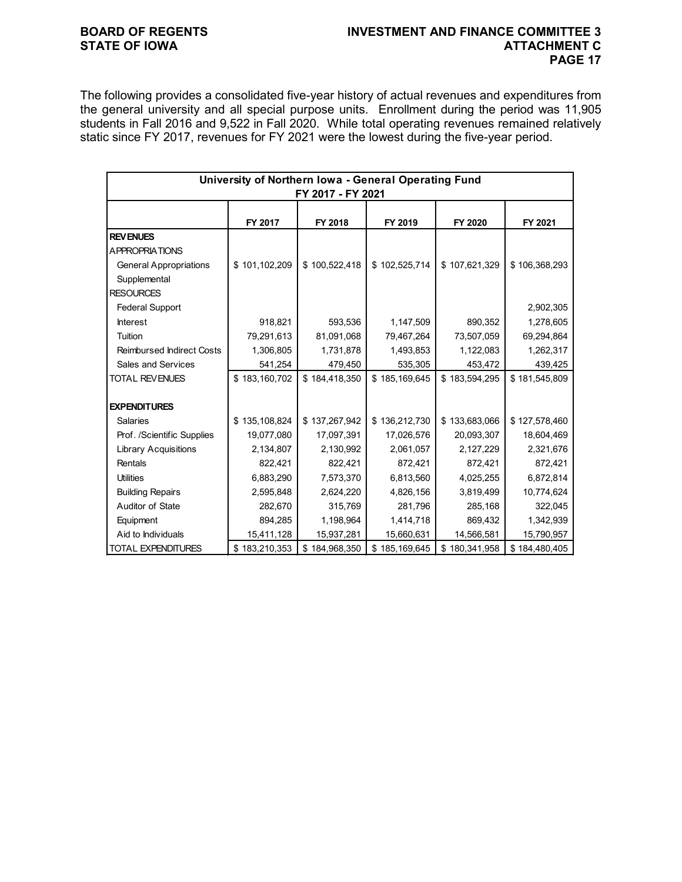## **BOARD OF REGENTS INVESTMENT AND FINANCE COMMITTEE 3 PAGE 17**

The following provides a consolidated five-year history of actual revenues and expenditures from the general university and all special purpose units. Enrollment during the period was 11,905 students in Fall 2016 and 9,522 in Fall 2020. While total operating revenues remained relatively static since FY 2017, revenues for FY 2021 were the lowest during the five-year period.

| University of Northern Iowa - General Operating Fund<br>FY 2017 - FY 2021 |               |               |               |               |               |  |  |  |  |  |
|---------------------------------------------------------------------------|---------------|---------------|---------------|---------------|---------------|--|--|--|--|--|
|                                                                           | FY 2017       | FY 2018       | FY 2019       | FY 2020       | FY 2021       |  |  |  |  |  |
| <b>REVENUES</b>                                                           |               |               |               |               |               |  |  |  |  |  |
| <b>APPROPRIATIONS</b>                                                     |               |               |               |               |               |  |  |  |  |  |
| <b>General Appropriations</b>                                             | \$101,102,209 | \$100,522,418 | \$102,525,714 | \$107,621,329 | \$106,368,293 |  |  |  |  |  |
| Supplemental                                                              |               |               |               |               |               |  |  |  |  |  |
| <b>RESOURCES</b>                                                          |               |               |               |               |               |  |  |  |  |  |
| <b>Federal Support</b>                                                    |               |               |               |               | 2,902,305     |  |  |  |  |  |
| <b>Interest</b>                                                           | 918,821       | 593,536       | 1,147,509     | 890,352       | 1,278,605     |  |  |  |  |  |
| Tuition                                                                   | 79,291,613    | 81,091,068    | 79,467,264    | 73,507,059    | 69,294,864    |  |  |  |  |  |
| <b>Reimbursed Indirect Costs</b>                                          | 1,306,805     | 1,731,878     | 1,493,853     | 1,122,083     | 1,262,317     |  |  |  |  |  |
| Sales and Services                                                        | 541,254       | 479,450       | 535,305       | 453,472       | 439,425       |  |  |  |  |  |
| <b>TOTAL REVENUES</b>                                                     | \$183,160,702 | \$184,418,350 | \$185,169,645 | \$183,594,295 | \$181,545,809 |  |  |  |  |  |
|                                                                           |               |               |               |               |               |  |  |  |  |  |
| <b>EXPENDITURES</b>                                                       |               |               |               |               |               |  |  |  |  |  |
| <b>Salaries</b>                                                           | \$135,108,824 | \$137,267,942 | \$136,212,730 | \$133,683,066 | \$127,578,460 |  |  |  |  |  |
| Prof. /Scientific Supplies                                                | 19,077,080    | 17,097,391    | 17,026,576    | 20,093,307    | 18,604,469    |  |  |  |  |  |
| <b>Library Acquisitions</b>                                               | 2,134,807     | 2,130,992     | 2,061,057     | 2,127,229     | 2,321,676     |  |  |  |  |  |
| Rentals                                                                   | 822,421       | 822,421       | 872,421       | 872,421       | 872,421       |  |  |  |  |  |
| <b>Utilities</b>                                                          | 6,883,290     | 7,573,370     | 6,813,560     | 4,025,255     | 6,872,814     |  |  |  |  |  |
| <b>Building Repairs</b>                                                   | 2,595,848     | 2,624,220     | 4,826,156     | 3,819,499     | 10,774,624    |  |  |  |  |  |
| Auditor of State                                                          | 282,670       | 315,769       | 281,796       | 285,168       | 322,045       |  |  |  |  |  |
| Equipment                                                                 | 894,285       | 1,198,964     | 1,414,718     | 869,432       | 1,342,939     |  |  |  |  |  |
| Aid to Individuals                                                        | 15,411,128    | 15,937,281    | 15,660,631    | 14,566,581    | 15,790,957    |  |  |  |  |  |
| <b>TOTAL EXPENDITURES</b>                                                 | \$183,210,353 | \$184,968,350 | \$185,169,645 | \$180,341,958 | \$184,480,405 |  |  |  |  |  |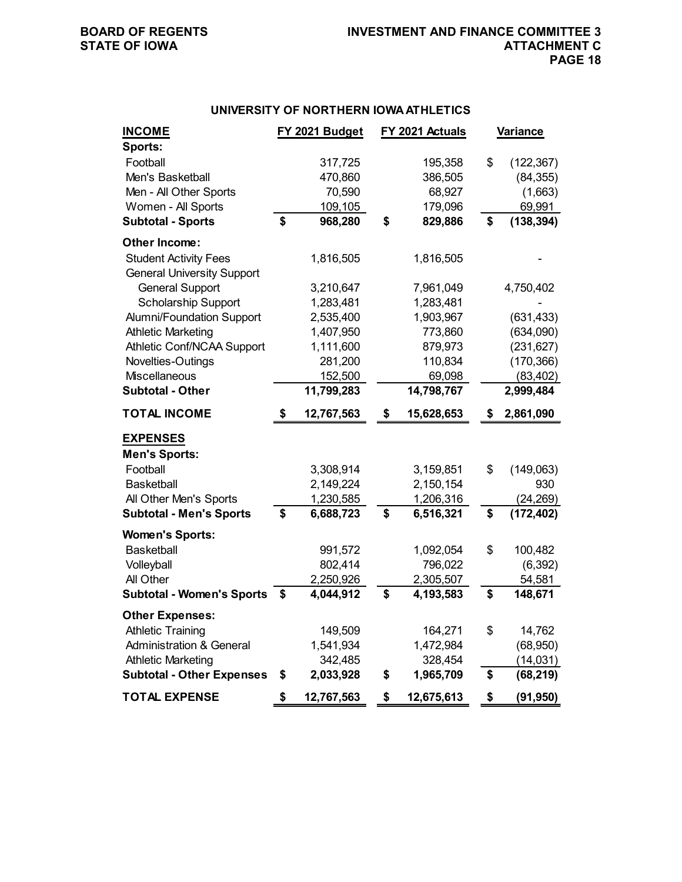## **UNIVERSITY OF NORTHERN IOWA ATHLETICS**

| <b>INCOME</b>                       |    | FY 2021 Budget |    | FY 2021 Actuals |    | <b>Variance</b> |
|-------------------------------------|----|----------------|----|-----------------|----|-----------------|
| Sports:                             |    |                |    |                 |    |                 |
| Football                            |    | 317,725        |    | 195,358         | \$ | (122, 367)      |
| Men's Basketball                    |    | 470,860        |    | 386,505         |    | (84, 355)       |
| Men - All Other Sports              |    | 70,590         |    | 68,927          |    | (1,663)         |
| Women - All Sports                  |    | 109,105        |    | 179,096         |    | 69,991          |
| <b>Subtotal - Sports</b>            | \$ | 968,280        | \$ | 829,886         | \$ | (138, 394)      |
| Other Income:                       |    |                |    |                 |    |                 |
| <b>Student Activity Fees</b>        |    | 1,816,505      |    | 1,816,505       |    |                 |
| <b>General University Support</b>   |    |                |    |                 |    |                 |
| <b>General Support</b>              |    | 3,210,647      |    | 7,961,049       |    | 4,750,402       |
| Scholarship Support                 |    | 1,283,481      |    | 1,283,481       |    |                 |
| <b>Alumni/Foundation Support</b>    |    | 2,535,400      |    | 1,903,967       |    | (631, 433)      |
| <b>Athletic Marketing</b>           |    | 1,407,950      |    | 773,860         |    | (634,090)       |
| Athletic Conf/NCAA Support          |    | 1,111,600      |    | 879,973         |    | (231, 627)      |
| Novelties-Outings                   |    | 281,200        |    | 110,834         |    | (170, 366)      |
| Miscellaneous                       |    | 152,500        |    | 69,098          |    | (83, 402)       |
| <b>Subtotal - Other</b>             |    | 11,799,283     |    | 14,798,767      |    | 2,999,484       |
| <b>TOTAL INCOME</b>                 | S  | 12,767,563     | S  | 15,628,653      | S  | 2,861,090       |
| <b>EXPENSES</b>                     |    |                |    |                 |    |                 |
| <b>Men's Sports:</b>                |    |                |    |                 |    |                 |
| Football                            |    | 3,308,914      |    | 3,159,851       | \$ | (149,063)       |
| <b>Basketball</b>                   |    | 2,149,224      |    | 2,150,154       |    | 930             |
| All Other Men's Sports              |    | 1,230,585      |    | 1,206,316       |    | (24, 269)       |
| <b>Subtotal - Men's Sports</b>      | \$ | 6,688,723      | \$ | 6,516,321       | \$ | (172, 402)      |
| <b>Women's Sports:</b>              |    |                |    |                 |    |                 |
| <b>Basketball</b>                   |    | 991,572        |    | 1,092,054       | \$ | 100,482         |
| Volleyball                          |    | 802,414        |    | 796,022         |    | (6, 392)        |
| All Other                           |    | 2,250,926      |    | 2,305,507       |    | 54,581          |
| <b>Subtotal - Women's Sports</b>    | S  | 4,044,912      | \$ | 4,193,583       | \$ | 148,671         |
| <b>Other Expenses:</b>              |    |                |    |                 |    |                 |
| <b>Athletic Training</b>            |    | 149,509        |    | 164,271         | \$ | 14,762          |
| <b>Administration &amp; General</b> |    | 1,541,934      |    | 1,472,984       |    | (68, 950)       |
| <b>Athletic Marketing</b>           |    | 342,485        |    | 328,454         |    | (14, 031)       |
| <b>Subtotal - Other Expenses</b>    | \$ | 2,033,928      | \$ | 1,965,709       | \$ | (68, 219)       |
| <b>TOTAL EXPENSE</b>                | \$ | 12,767,563     | \$ | 12,675,613      | \$ | (91, 950)       |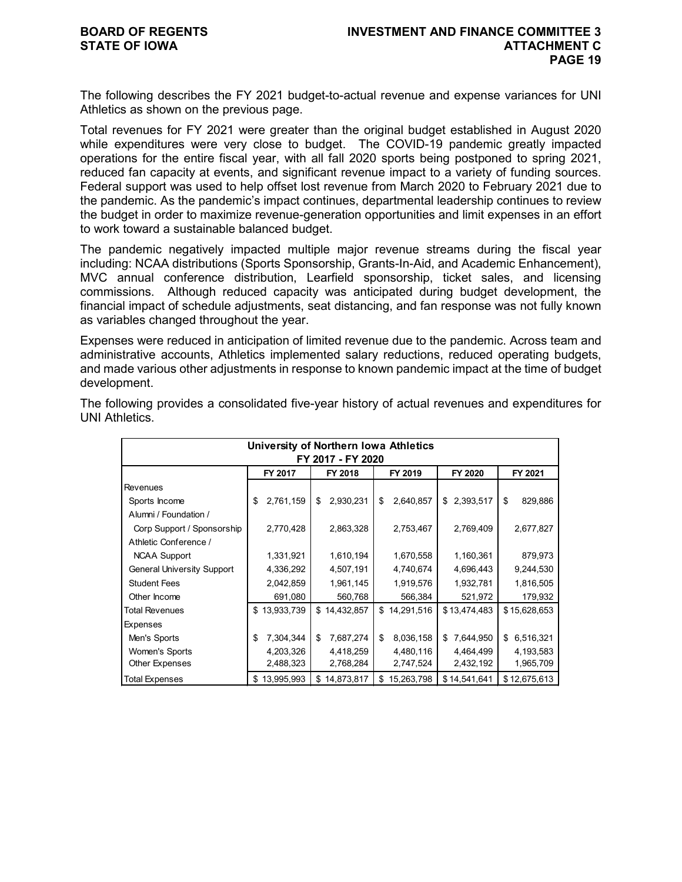The following describes the FY 2021 budget-to-actual revenue and expense variances for UNI Athletics as shown on the previous page.

Total revenues for FY 2021 were greater than the original budget established in August 2020 while expenditures were very close to budget. The COVID-19 pandemic greatly impacted operations for the entire fiscal year, with all fall 2020 sports being postponed to spring 2021, reduced fan capacity at events, and significant revenue impact to a variety of funding sources. Federal support was used to help offset lost revenue from March 2020 to February 2021 due to the pandemic. As the pandemic's impact continues, departmental leadership continues to review the budget in order to maximize revenue-generation opportunities and limit expenses in an effort to work toward a sustainable balanced budget.

The pandemic negatively impacted multiple major revenue streams during the fiscal year including: NCAA distributions (Sports Sponsorship, Grants-In-Aid, and Academic Enhancement), MVC annual conference distribution, Learfield sponsorship, ticket sales, and licensing commissions. Although reduced capacity was anticipated during budget development, the financial impact of schedule adjustments, seat distancing, and fan response was not fully known as variables changed throughout the year.

Expenses were reduced in anticipation of limited revenue due to the pandemic. Across team and administrative accounts, Athletics implemented salary reductions, reduced operating budgets, and made various other adjustments in response to known pandemic impact at the time of budget development.

|                                   | University of Northern Iowa Athletics |                    |    |                    |    |              |         |              |    |              |  |  |
|-----------------------------------|---------------------------------------|--------------------|----|--------------------|----|--------------|---------|--------------|----|--------------|--|--|
| FY 2017 - FY 2020                 |                                       |                    |    |                    |    |              |         |              |    |              |  |  |
|                                   |                                       | FY 2017<br>FY 2018 |    | FY 2019<br>FY 2020 |    |              | FY 2021 |              |    |              |  |  |
| <b>Revenues</b>                   |                                       |                    |    |                    |    |              |         |              |    |              |  |  |
| Sports Income                     | \$                                    | 2,761,159          | \$ | 2,930,231          | \$ | 2,640,857    | \$      | 2,393,517    | \$ | 829,886      |  |  |
| Alumni / Foundation /             |                                       |                    |    |                    |    |              |         |              |    |              |  |  |
| Corp Support / Sponsorship        |                                       | 2,770,428          |    | 2,863,328          |    | 2,753,467    |         | 2,769,409    |    | 2,677,827    |  |  |
| Athletic Conference /             |                                       |                    |    |                    |    |              |         |              |    |              |  |  |
| <b>NCAA Support</b>               |                                       | 1,331,921          |    | 1,610,194          |    | 1,670,558    |         | 1,160,361    |    | 879,973      |  |  |
| <b>General University Support</b> |                                       | 4,336,292          |    | 4,507,191          |    | 4,740,674    |         | 4,696,443    |    | 9,244,530    |  |  |
| <b>Student Fees</b>               |                                       | 2,042,859          |    | 1,961,145          |    | 1,919,576    |         | 1,932,781    |    | 1,816,505    |  |  |
| Other Income                      |                                       | 691,080            |    | 560,768            |    | 566,384      |         | 521,972      |    | 179,932      |  |  |
| <b>Total Revenues</b>             | \$                                    | 13,933,739         |    | \$14,432,857       |    | \$14,291,516 |         | \$13,474,483 |    | \$15,628,653 |  |  |
| Expenses                          |                                       |                    |    |                    |    |              |         |              |    |              |  |  |
| Men's Sports                      | \$                                    | 7,304,344          | \$ | 7,687,274          | \$ | 8,036,158    | \$      | 7,644,950    | \$ | 6,516,321    |  |  |
| Women's Sports                    |                                       | 4,203,326          |    | 4,418,259          |    | 4,480,116    |         | 4,464,499    |    | 4,193,583    |  |  |
| <b>Other Expenses</b>             |                                       | 2,488,323          |    | 2,768,284          |    | 2,747,524    |         | 2,432,192    |    | 1,965,709    |  |  |
| <b>Total Expenses</b>             |                                       | \$13,995,993       | \$ | 14,873,817         | \$ | 15,263,798   |         | \$14,541,641 |    | \$12,675,613 |  |  |

The following provides a consolidated five-year history of actual revenues and expenditures for UNI Athletics.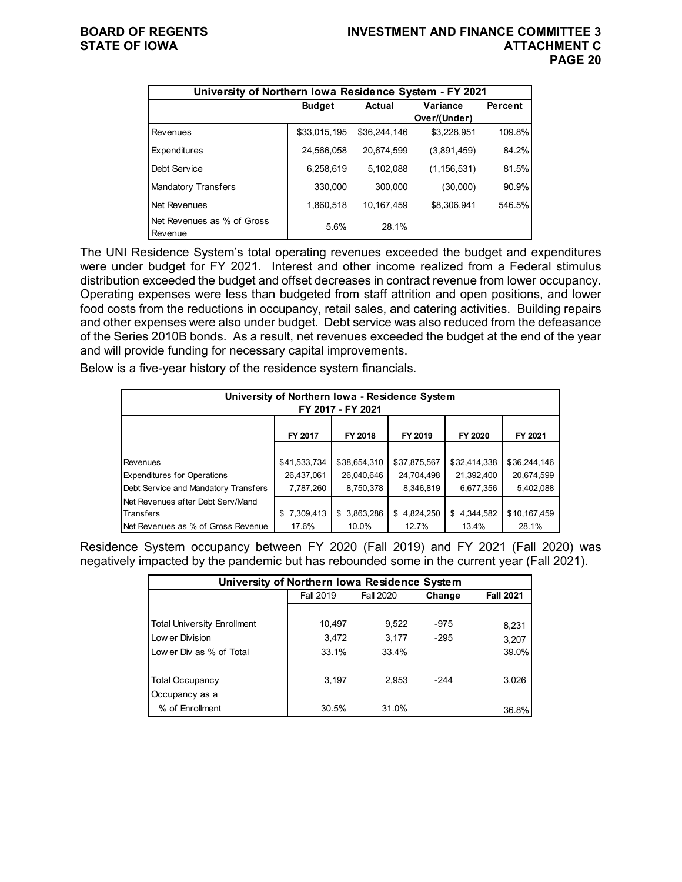| University of Northern Iowa Residence System - FY 2021 |               |               |               |         |
|--------------------------------------------------------|---------------|---------------|---------------|---------|
|                                                        | <b>Budget</b> | <b>Actual</b> | Variance      | Percent |
|                                                        |               |               | Over/(Under)  |         |
| Revenues                                               | \$33,015,195  | \$36,244,146  | \$3,228,951   | 109.8%  |
| Expenditures                                           | 24,566,058    | 20.674.599    | (3,891,459)   | 84.2%   |
| Debt Service                                           | 6,258,619     | 5.102.088     | (1, 156, 531) | 81.5%   |
| <b>Mandatory Transfers</b>                             | 330,000       | 300.000       | (30,000)      | 90.9%   |
| Net Revenues                                           | 1,860,518     | 10.167.459    | \$8.306.941   | 546.5%  |
| Net Revenues as % of Gross<br>Revenue                  | 5.6%          | 28.1%         |               |         |

The UNI Residence System's total operating revenues exceeded the budget and expenditures were under budget for FY 2021. Interest and other income realized from a Federal stimulus distribution exceeded the budget and offset decreases in contract revenue from lower occupancy. Operating expenses were less than budgeted from staff attrition and open positions, and lower food costs from the reductions in occupancy, retail sales, and catering activities. Building repairs and other expenses were also under budget. Debt service was also reduced from the defeasance of the Series 2010B bonds. As a result, net revenues exceeded the budget at the end of the year and will provide funding for necessary capital improvements.

Below is a five-year history of the residence system financials.

| University of Northern Iowa - Residence System<br>FY 2017 - FY 2021 |              |              |              |              |              |  |  |  |  |  |  |
|---------------------------------------------------------------------|--------------|--------------|--------------|--------------|--------------|--|--|--|--|--|--|
|                                                                     |              |              |              |              |              |  |  |  |  |  |  |
|                                                                     | FY 2017      | FY 2018      | FY 2019      | FY 2020      | FY 2021      |  |  |  |  |  |  |
|                                                                     |              |              |              |              |              |  |  |  |  |  |  |
| <b>Revenues</b>                                                     | \$41,533,734 | \$38,654,310 | \$37,875,567 | \$32,414,338 | \$36,244,146 |  |  |  |  |  |  |
| <b>Expenditures for Operations</b>                                  | 26,437,061   | 26,040,646   | 24,704,498   | 21,392,400   | 20,674,599   |  |  |  |  |  |  |
| Debt Service and Mandatory Transfers                                | 7,787,260    | 8,750,378    | 8,346,819    | 6,677,356    | 5,402,088    |  |  |  |  |  |  |
| Net Revenues after Debt Serv/Mand                                   |              |              |              |              |              |  |  |  |  |  |  |
| <b>Transfers</b>                                                    | \$7,309,413  | \$3,863,286  | \$4,824,250  | \$4,344,582  | \$10,167,459 |  |  |  |  |  |  |
| Net Revenues as % of Gross Revenue                                  | 17.6%        | 10.0%        | 12.7%        | 13.4%        | 28.1%        |  |  |  |  |  |  |

Residence System occupancy between FY 2020 (Fall 2019) and FY 2021 (Fall 2020) was negatively impacted by the pandemic but has rebounded some in the current year (Fall 2021).

| University of Northern Iowa Residence System |           |           |        |                  |  |  |  |  |  |  |
|----------------------------------------------|-----------|-----------|--------|------------------|--|--|--|--|--|--|
|                                              | Fall 2019 | Fall 2020 | Change | <b>Fall 2021</b> |  |  |  |  |  |  |
|                                              |           |           |        |                  |  |  |  |  |  |  |
| <b>Total University Enrollment</b>           | 10,497    | 9,522     | $-975$ | 8,231            |  |  |  |  |  |  |
| Low er Division                              | 3,472     | 3.177     | $-295$ | 3,207            |  |  |  |  |  |  |
| Low er Div as % of Total                     | 33.1%     | 33.4%     |        | 39.0%            |  |  |  |  |  |  |
|                                              |           |           |        |                  |  |  |  |  |  |  |
| <b>Total Occupancy</b>                       | 3.197     | 2,953     | $-244$ | 3,026            |  |  |  |  |  |  |
| Occupancy as a                               |           |           |        |                  |  |  |  |  |  |  |
| % of Enrollment                              | 30.5%     | 31.0%     |        | 36.8%            |  |  |  |  |  |  |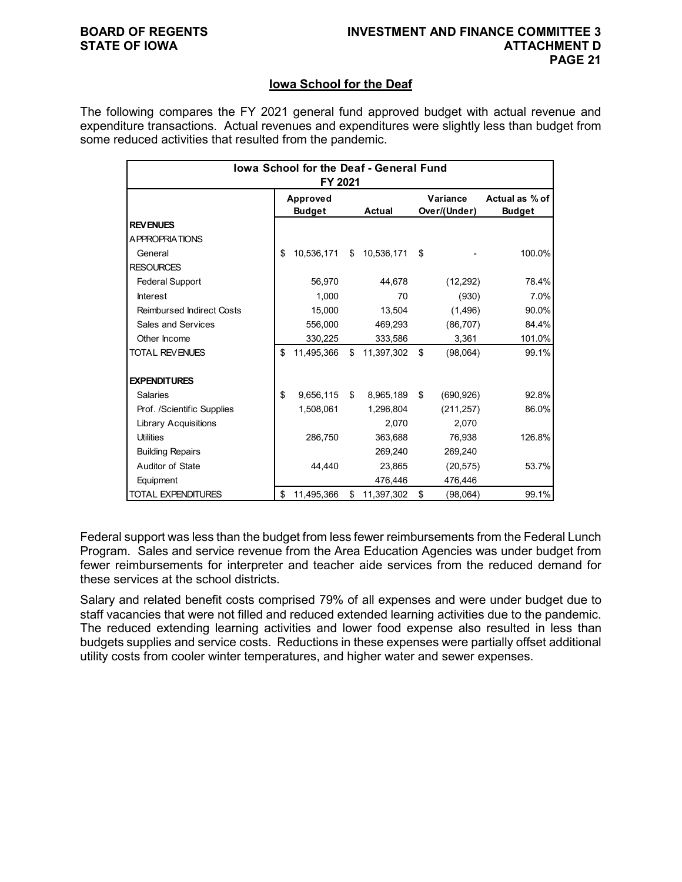## **Iowa School for the Deaf**

The following compares the FY 2021 general fund approved budget with actual revenue and expenditure transactions. Actual revenues and expenditures were slightly less than budget from some reduced activities that resulted from the pandemic.

| lowa School for the Deaf - General Fund<br>FY 2021 |               |            |    |               |    |              |                |  |  |
|----------------------------------------------------|---------------|------------|----|---------------|----|--------------|----------------|--|--|
|                                                    |               | Approved   |    |               |    | Variance     | Actual as % of |  |  |
|                                                    | <b>Budget</b> |            |    | <b>Actual</b> |    | Over/(Under) | <b>Budget</b>  |  |  |
| <b>REVENUES</b>                                    |               |            |    |               |    |              |                |  |  |
| A PPROPRIATIONS                                    |               |            |    |               |    |              |                |  |  |
| General                                            | \$            | 10,536,171 | \$ | 10,536,171    | \$ |              | 100.0%         |  |  |
| <b>RESOURCES</b>                                   |               |            |    |               |    |              |                |  |  |
| <b>Federal Support</b>                             |               | 56,970     |    | 44,678        |    | (12, 292)    | 78.4%          |  |  |
| <b>Interest</b>                                    |               | 1.000      |    | 70            |    | (930)        | 7.0%           |  |  |
| <b>Reimbursed Indirect Costs</b>                   |               | 15,000     |    | 13,504        |    | (1,496)      | 90.0%          |  |  |
| Sales and Services                                 |               | 556.000    |    | 469,293       |    | (86, 707)    | 84.4%          |  |  |
| Other Income                                       |               | 330,225    |    | 333,586       |    | 3,361        | 101.0%         |  |  |
| <b>TOTAL REVENUES</b>                              | \$            | 11,495,366 | \$ | 11,397,302    | \$ | (98,064)     | 99.1%          |  |  |
| <b>EXPENDITURES</b>                                |               |            |    |               |    |              |                |  |  |
| <b>Salaries</b>                                    | \$            | 9,656,115  | \$ | 8,965,189     | \$ | (690, 926)   | 92.8%          |  |  |
| Prof. /Scientific Supplies                         |               | 1,508,061  |    | 1,296,804     |    | (211, 257)   | 86.0%          |  |  |
| <b>Library Acquisitions</b>                        |               |            |    | 2,070         |    | 2,070        |                |  |  |
| <b>Utilities</b>                                   |               | 286,750    |    | 363,688       |    | 76,938       | 126.8%         |  |  |
| <b>Building Repairs</b>                            |               |            |    | 269,240       |    | 269,240      |                |  |  |
| Auditor of State                                   |               | 44.440     |    | 23,865        |    | (20, 575)    | 53.7%          |  |  |
| Equipment                                          |               |            |    | 476,446       |    | 476,446      |                |  |  |
| <b>TOTAL EXPENDITURES</b>                          | \$            | 11,495,366 | \$ | 11,397,302    | \$ | (98,064)     | 99.1%          |  |  |

Federal support was less than the budget from less fewer reimbursements from the Federal Lunch Program. Sales and service revenue from the Area Education Agencies was under budget from fewer reimbursements for interpreter and teacher aide services from the reduced demand for these services at the school districts.

Salary and related benefit costs comprised 79% of all expenses and were under budget due to staff vacancies that were not filled and reduced extended learning activities due to the pandemic. The reduced extending learning activities and lower food expense also resulted in less than budgets supplies and service costs. Reductions in these expenses were partially offset additional utility costs from cooler winter temperatures, and higher water and sewer expenses.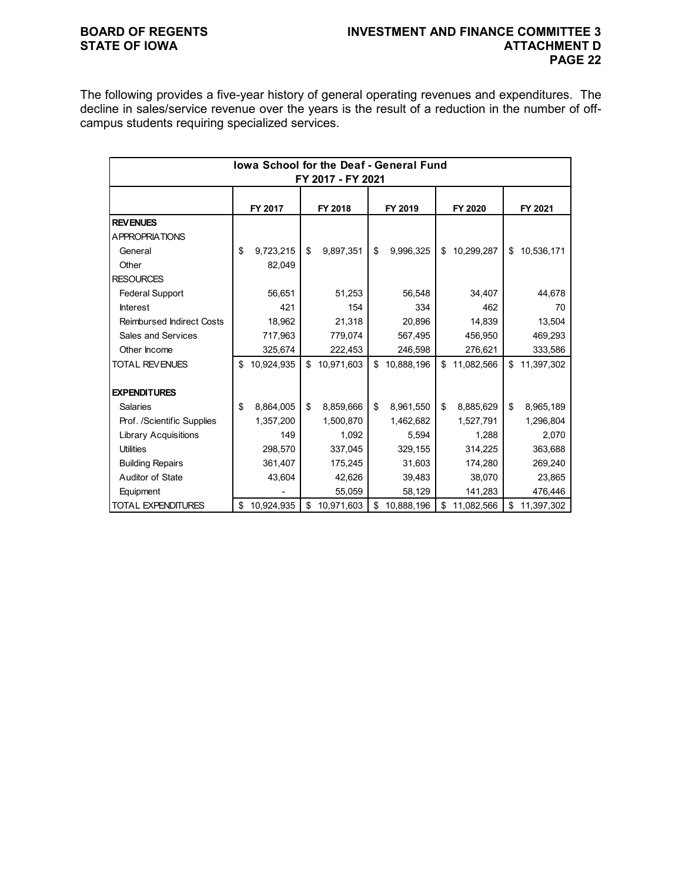## **BOARD OF REGENTS INVESTMENT AND FINANCE COMMITTEE 3 PAGE 22**

The following provides a five-year history of general operating revenues and expenditures. The decline in sales/service revenue over the years is the result of a reduction in the number of offcampus students requiring specialized services.

| lowa School for the Deaf - General Fund |    |            |         |            |         |            |         |            |    |            |  |
|-----------------------------------------|----|------------|---------|------------|---------|------------|---------|------------|----|------------|--|
| FY 2017 - FY 2021                       |    |            |         |            |         |            |         |            |    |            |  |
|                                         |    |            |         |            |         |            |         |            |    |            |  |
|                                         |    | FY 2017    | FY 2018 |            | FY 2019 |            | FY 2020 |            |    | FY 2021    |  |
| <b>REVENUES</b>                         |    |            |         |            |         |            |         |            |    |            |  |
| <b>APPROPRIATIONS</b>                   |    |            |         |            |         |            |         |            |    |            |  |
| General                                 | \$ | 9,723,215  | \$      | 9,897,351  | \$      | 9,996,325  | \$      | 10,299,287 | \$ | 10,536,171 |  |
| Other                                   |    | 82,049     |         |            |         |            |         |            |    |            |  |
| <b>RESOURCES</b>                        |    |            |         |            |         |            |         |            |    |            |  |
| <b>Federal Support</b>                  |    | 56,651     |         | 51,253     |         | 56,548     |         | 34,407     |    | 44,678     |  |
| <b>Interest</b>                         |    | 421        |         | 154        |         | 334        |         | 462        |    | 70         |  |
| <b>Reimbursed Indirect Costs</b>        |    | 18,962     |         | 21,318     |         | 20,896     |         | 14,839     |    | 13,504     |  |
| <b>Sales and Services</b>               |    | 717,963    |         | 779,074    |         | 567,495    |         | 456,950    |    | 469,293    |  |
| Other Income                            |    | 325,674    |         | 222,453    |         | 246,598    |         | 276,621    |    | 333,586    |  |
| <b>TOTAL REVENUES</b>                   | \$ | 10,924,935 | \$      | 10,971,603 | \$      | 10,888,196 | \$      | 11,082,566 | \$ | 11,397,302 |  |
|                                         |    |            |         |            |         |            |         |            |    |            |  |
| <b>EXPENDITURES</b>                     |    |            |         |            |         |            |         |            |    |            |  |
| <b>Salaries</b>                         | \$ | 8,864,005  | \$      | 8,859,666  | \$      | 8,961,550  | \$      | 8,885,629  | \$ | 8,965,189  |  |
| Prof. /Scientific Supplies              |    | 1,357,200  |         | 1,500,870  |         | 1,462,682  |         | 1,527,791  |    | 1,296,804  |  |
| <b>Library Acquisitions</b>             |    | 149        |         | 1,092      |         | 5,594      |         | 1,288      |    | 2,070      |  |
| <b>Utilities</b>                        |    | 298,570    |         | 337,045    |         | 329,155    |         | 314,225    |    | 363,688    |  |
| <b>Building Repairs</b>                 |    | 361,407    |         | 175,245    |         | 31,603     |         | 174,280    |    | 269,240    |  |
| Auditor of State                        |    | 43,604     |         | 42,626     |         | 39,483     |         | 38,070     |    | 23,865     |  |
| Equipment                               |    |            |         | 55,059     |         | 58,129     |         | 141,283    |    | 476,446    |  |
| <b>TOTAL EXPENDITURES</b>               | \$ | 10,924,935 | \$      | 10,971,603 | \$      | 10,888,196 | \$      | 11,082,566 | \$ | 11,397,302 |  |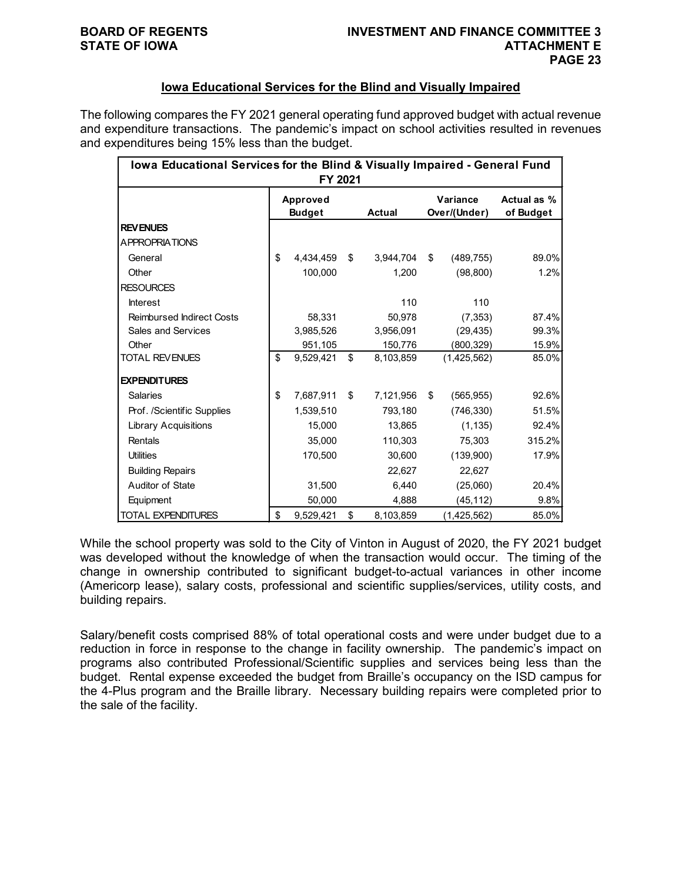## **Iowa Educational Services for the Blind and Visually Impaired**

The following compares the FY 2021 general operating fund approved budget with actual revenue and expenditure transactions. The pandemic's impact on school activities resulted in revenues and expenditures being 15% less than the budget.

| lowa Educational Services for the Blind & Visually Impaired - General Fund<br>FY 2021 |                           |           |    |               |    |                          |                          |  |  |  |
|---------------------------------------------------------------------------------------|---------------------------|-----------|----|---------------|----|--------------------------|--------------------------|--|--|--|
|                                                                                       | Approved<br><b>Budget</b> |           |    | <b>Actual</b> |    | Variance<br>Over/(Under) | Actual as %<br>of Budget |  |  |  |
| <b>REVENUES</b>                                                                       |                           |           |    |               |    |                          |                          |  |  |  |
| A PPROPRIATIONS                                                                       |                           |           |    |               |    |                          |                          |  |  |  |
| General                                                                               | \$                        | 4,434,459 | \$ | 3,944,704     | \$ | (489, 755)               | 89.0%                    |  |  |  |
| Other                                                                                 |                           | 100,000   |    | 1,200         |    | (98, 800)                | 1.2%                     |  |  |  |
| <b>RESOURCES</b>                                                                      |                           |           |    |               |    |                          |                          |  |  |  |
| <b>Interest</b>                                                                       |                           |           |    | 110           |    | 110                      |                          |  |  |  |
| <b>Reimbursed Indirect Costs</b>                                                      |                           | 58.331    |    | 50.978        |    | (7, 353)                 | 87.4%                    |  |  |  |
| Sales and Services                                                                    |                           | 3,985,526 |    | 3,956,091     |    | (29, 435)                | 99.3%                    |  |  |  |
| Other                                                                                 |                           | 951,105   |    | 150,776       |    | (800, 329)               | 15.9%                    |  |  |  |
| <b>TOTAL REVENUES</b>                                                                 | \$                        | 9,529,421 | \$ | 8,103,859     |    | (1,425,562)              | 85.0%                    |  |  |  |
| <b>EXPENDITURES</b>                                                                   |                           |           |    |               |    |                          |                          |  |  |  |
| <b>Salaries</b>                                                                       | \$                        | 7,687,911 | \$ | 7,121,956     | \$ | (565, 955)               | 92.6%                    |  |  |  |
| Prof. /Scientific Supplies                                                            |                           | 1,539,510 |    | 793,180       |    | (746, 330)               | 51.5%                    |  |  |  |
| <b>Library Acquisitions</b>                                                           |                           | 15,000    |    | 13,865        |    | (1, 135)                 | 92.4%                    |  |  |  |
| Rentals                                                                               |                           | 35,000    |    | 110,303       |    | 75,303                   | 315.2%                   |  |  |  |
| <b>Utilities</b>                                                                      |                           | 170,500   |    | 30,600        |    | (139,900)                | 17.9%                    |  |  |  |
| <b>Building Repairs</b>                                                               |                           |           |    | 22,627        |    | 22,627                   |                          |  |  |  |
| Auditor of State                                                                      |                           | 31,500    |    | 6,440         |    | (25,060)                 | 20.4%                    |  |  |  |
| Equipment                                                                             |                           | 50,000    |    | 4,888         |    | (45, 112)                | 9.8%                     |  |  |  |
| <b>TOTAL EXPENDITURES</b>                                                             | \$                        | 9,529,421 | \$ | 8,103,859     |    | (1,425,562)              | 85.0%                    |  |  |  |

While the school property was sold to the City of Vinton in August of 2020, the FY 2021 budget was developed without the knowledge of when the transaction would occur. The timing of the change in ownership contributed to significant budget-to-actual variances in other income (Americorp lease), salary costs, professional and scientific supplies/services, utility costs, and building repairs.

Salary/benefit costs comprised 88% of total operational costs and were under budget due to a reduction in force in response to the change in facility ownership. The pandemic's impact on programs also contributed Professional/Scientific supplies and services being less than the budget. Rental expense exceeded the budget from Braille's occupancy on the ISD campus for the 4-Plus program and the Braille library. Necessary building repairs were completed prior to the sale of the facility.